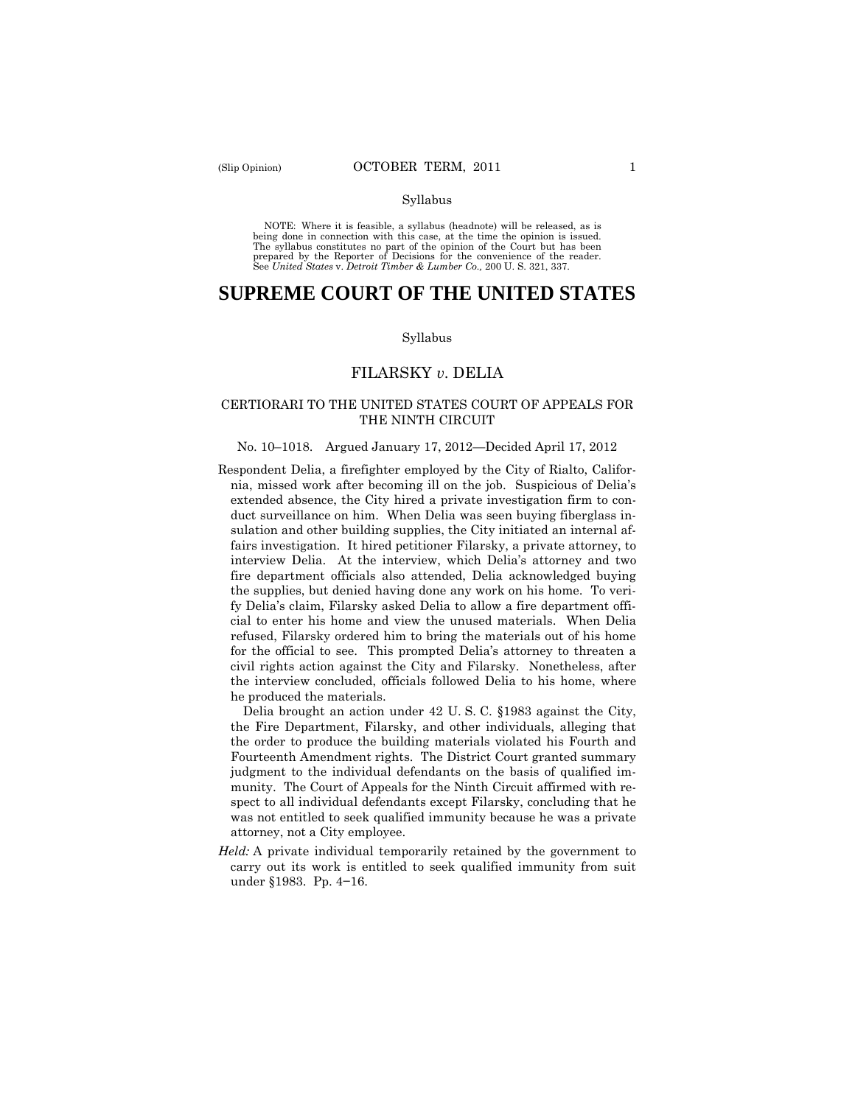#### Syllabus

 NOTE: Where it is feasible, a syllabus (headnote) will be released, as is being done in connection with this case, at the time the opinion is issued. The syllabus constitutes no part of the opinion of the Court but has been<br>prepared by the Reporter of Decisions for the convenience of the reader.<br>See United States v. Detroit Timber & Lumber Co., 200 U.S. 321, 337.

# **SUPREME COURT OF THE UNITED STATES**

#### Syllabus

## FILARSKY *v*. DELIA

#### CERTIORARI TO THE UNITED STATES COURT OF APPEALS FOR THE NINTH CIRCUIT

#### No. 10–1018. Argued January 17, 2012—Decided April 17, 2012

 cial to enter his home and view the unused materials. When Delia Respondent Delia, a firefighter employed by the City of Rialto, California, missed work after becoming ill on the job. Suspicious of Delia's extended absence, the City hired a private investigation firm to conduct surveillance on him. When Delia was seen buying fiberglass insulation and other building supplies, the City initiated an internal affairs investigation. It hired petitioner Filarsky, a private attorney, to interview Delia. At the interview, which Delia's attorney and two fire department officials also attended, Delia acknowledged buying the supplies, but denied having done any work on his home. To verify Delia's claim, Filarsky asked Delia to allow a fire department offirefused, Filarsky ordered him to bring the materials out of his home for the official to see. This prompted Delia's attorney to threaten a civil rights action against the City and Filarsky. Nonetheless, after the interview concluded, officials followed Delia to his home, where he produced the materials.

Delia brought an action under 42 U. S. C. §1983 against the City, the Fire Department, Filarsky, and other individuals, alleging that the order to produce the building materials violated his Fourth and Fourteenth Amendment rights. The District Court granted summary judgment to the individual defendants on the basis of qualified immunity. The Court of Appeals for the Ninth Circuit affirmed with respect to all individual defendants except Filarsky, concluding that he was not entitled to seek qualified immunity because he was a private attorney, not a City employee.

*Held:* A private individual temporarily retained by the government to carry out its work is entitled to seek qualified immunity from suit under §1983. Pp. 4−16.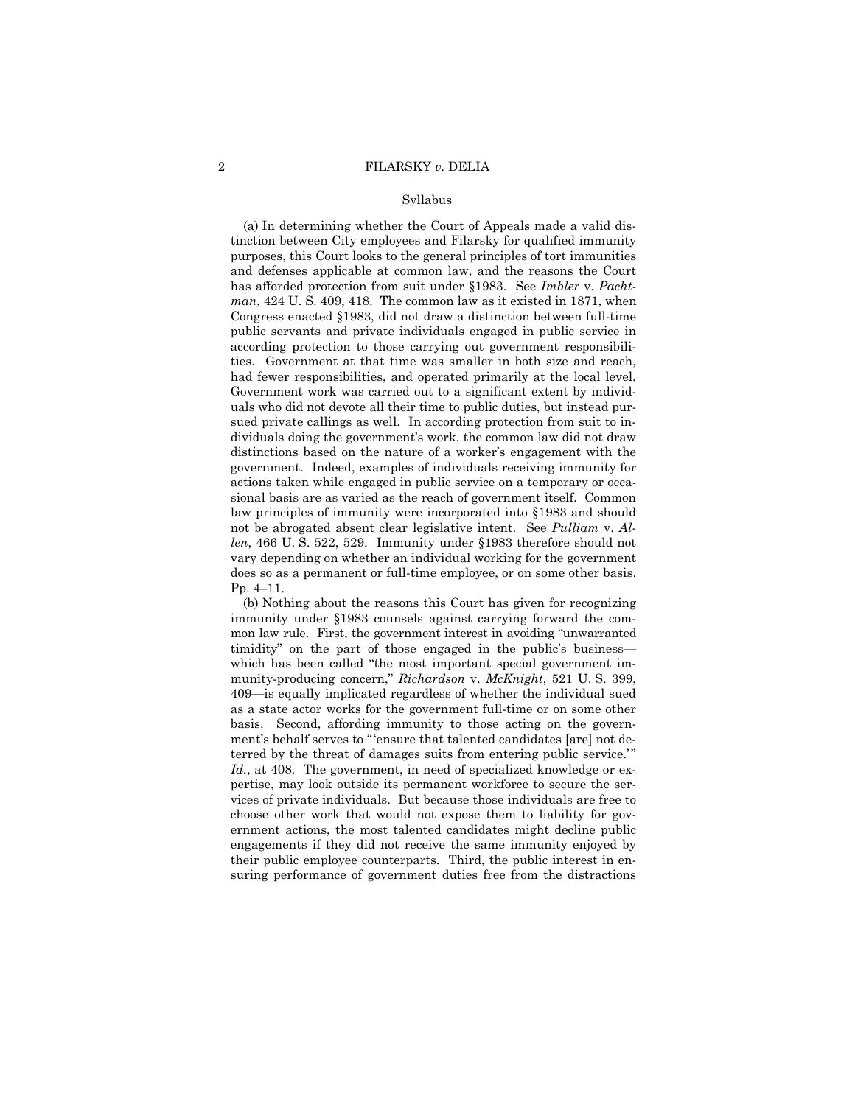#### Syllabus

 had fewer responsibilities, and operated primarily at the local level. (a) In determining whether the Court of Appeals made a valid distinction between City employees and Filarsky for qualified immunity purposes, this Court looks to the general principles of tort immunities and defenses applicable at common law, and the reasons the Court has afforded protection from suit under §1983. See *Imbler* v. *Pachtman*, 424 U. S. 409, 418. The common law as it existed in 1871, when Congress enacted §1983, did not draw a distinction between full-time public servants and private individuals engaged in public service in according protection to those carrying out government responsibilities. Government at that time was smaller in both size and reach, Government work was carried out to a significant extent by individuals who did not devote all their time to public duties, but instead pursued private callings as well. In according protection from suit to individuals doing the government's work, the common law did not draw distinctions based on the nature of a worker's engagement with the government. Indeed, examples of individuals receiving immunity for actions taken while engaged in public service on a temporary or occasional basis are as varied as the reach of government itself. Common law principles of immunity were incorporated into §1983 and should not be abrogated absent clear legislative intent. See *Pulliam* v. *Allen*, 466 U. S. 522, 529. Immunity under §1983 therefore should not vary depending on whether an individual working for the government does so as a permanent or full-time employee, or on some other basis. Pp. 4–11.

(b) Nothing about the reasons this Court has given for recognizing immunity under §1983 counsels against carrying forward the common law rule. First, the government interest in avoiding "unwarranted timidity" on the part of those engaged in the public's business which has been called "the most important special government immunity-producing concern," *Richardson* v. *McKnight*, 521 U. S. 399, 409—is equally implicated regardless of whether the individual sued as a state actor works for the government full-time or on some other basis. Second, affording immunity to those acting on the government's behalf serves to "'ensure that talented candidates [are] not deterred by the threat of damages suits from entering public service.' " Id., at 408. The government, in need of specialized knowledge or expertise, may look outside its permanent workforce to secure the services of private individuals. But because those individuals are free to choose other work that would not expose them to liability for government actions, the most talented candidates might decline public engagements if they did not receive the same immunity enjoyed by their public employee counterparts. Third, the public interest in ensuring performance of government duties free from the distractions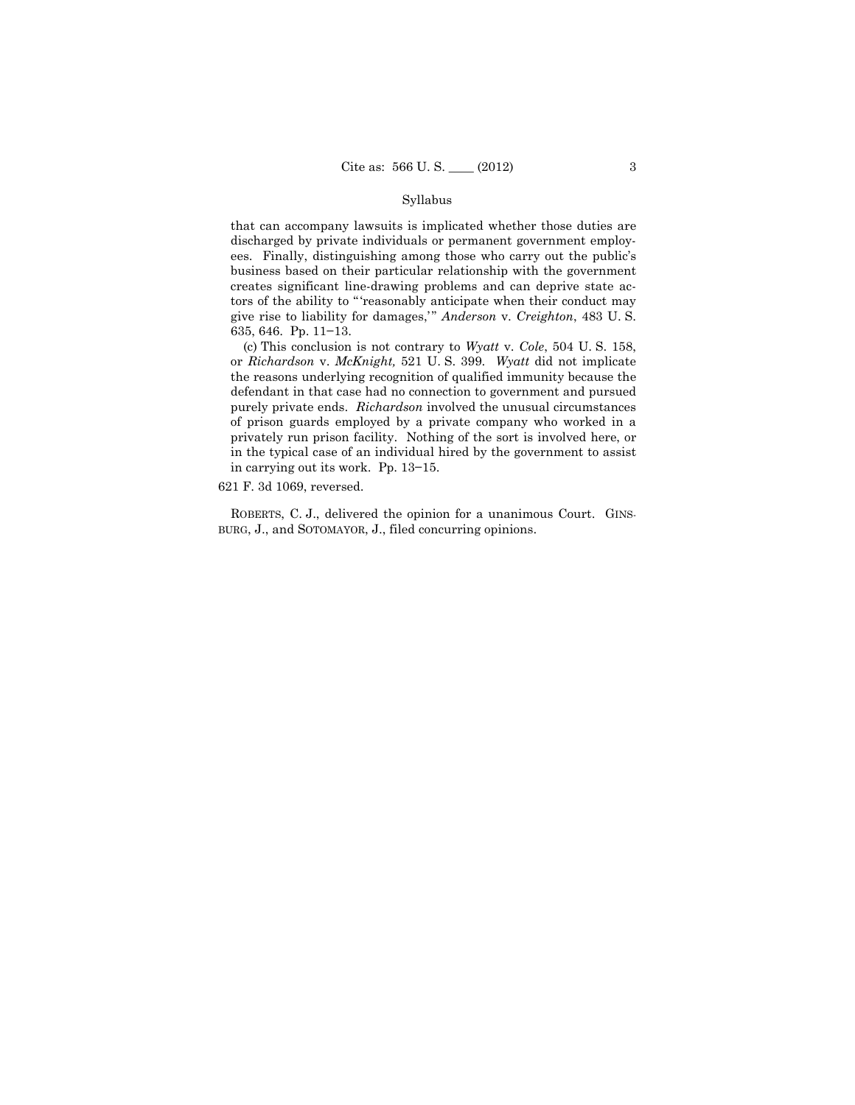#### Syllabus

that can accompany lawsuits is implicated whether those duties are discharged by private individuals or permanent government employees. Finally, distinguishing among those who carry out the public's business based on their particular relationship with the government creates significant line-drawing problems and can deprive state actors of the ability to "'reasonably anticipate when their conduct may give rise to liability for damages,' " *Anderson* v. *Creighton*, 483 U. S. 635, 646. Pp. 11−13.

(c) This conclusion is not contrary to *Wyatt* v. *Cole*, 504 U. S. 158, or *Richardson* v. *McKnight,* 521 U. S. 399. *Wyatt* did not implicate the reasons underlying recognition of qualified immunity because the defendant in that case had no connection to government and pursued purely private ends. *Richardson* involved the unusual circumstances of prison guards employed by a private company who worked in a privately run prison facility. Nothing of the sort is involved here, or in the typical case of an individual hired by the government to assist in carrying out its work. Pp. 13−15.

621 F. 3d 1069, reversed.

ROBERTS, C. J., delivered the opinion for a unanimous Court. GINS-BURG, J., and SOTOMAYOR, J., filed concurring opinions.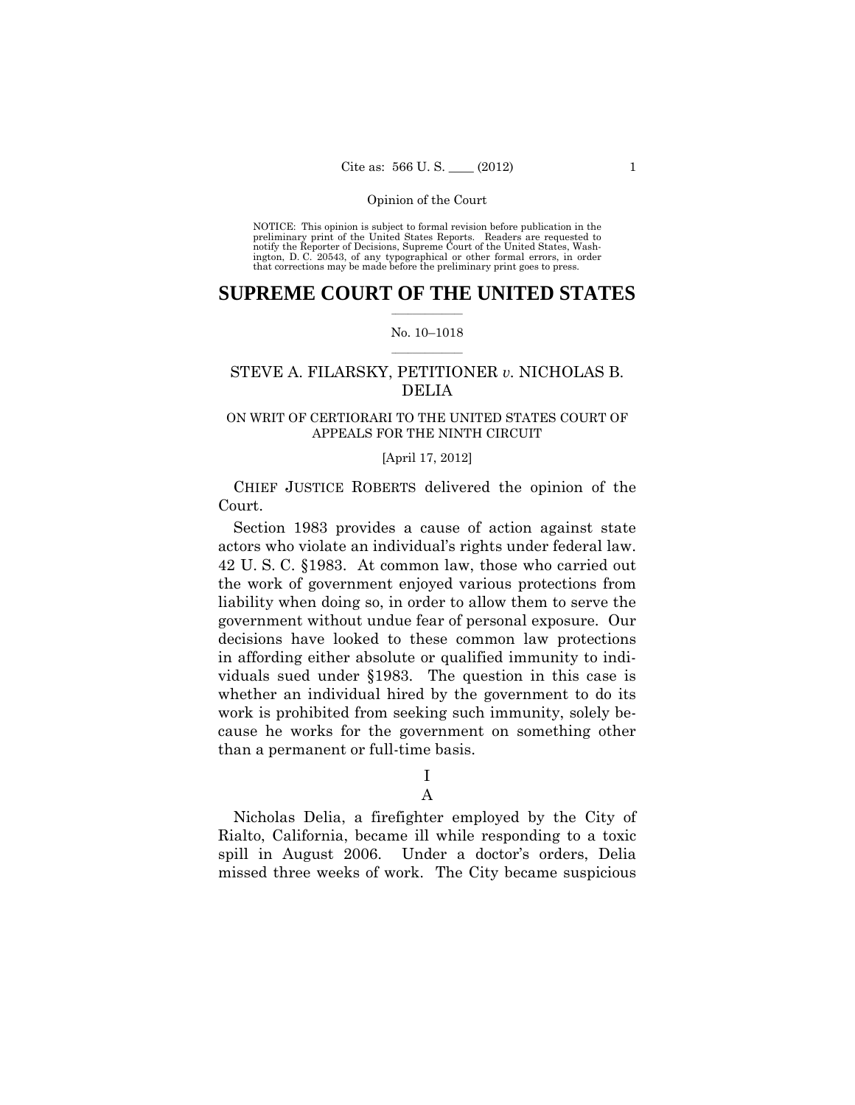preliminary print of the United States Reports. Readers are requested to notify the Reporter of Decisions, Supreme Court of the United States, Wash- ington, D. C. 20543, of any typographical or other formal errors, in order that corrections may be made before the preliminary print goes to press. NOTICE: This opinion is subject to formal revision before publication in the

### $\frac{1}{2}$  , where  $\frac{1}{2}$ **SUPREME COURT OF THE UNITED STATES**

#### $\frac{1}{2}$  ,  $\frac{1}{2}$  ,  $\frac{1}{2}$  ,  $\frac{1}{2}$  ,  $\frac{1}{2}$  ,  $\frac{1}{2}$ No. 10–1018

# STEVE A. FILARSKY, PETITIONER *v.* NICHOLAS B. DELIA

## ON WRIT OF CERTIORARI TO THE UNITED STATES COURT OF APPEALS FOR THE NINTH CIRCUIT

#### [April 17, 2012]

CHIEF JUSTICE ROBERTS delivered the opinion of the Court.

 actors who violate an individual's rights under federal law. Section 1983 provides a cause of action against state 42 U. S. C. §1983. At common law, those who carried out the work of government enjoyed various protections from liability when doing so, in order to allow them to serve the government without undue fear of personal exposure. Our decisions have looked to these common law protections in affording either absolute or qualified immunity to individuals sued under §1983. The question in this case is whether an individual hired by the government to do its work is prohibited from seeking such immunity, solely because he works for the government on something other than a permanent or full-time basis.

# I

### A

Nicholas Delia, a firefighter employed by the City of Rialto, California, became ill while responding to a toxic spill in August 2006. Under a doctor's orders, Delia missed three weeks of work. The City became suspicious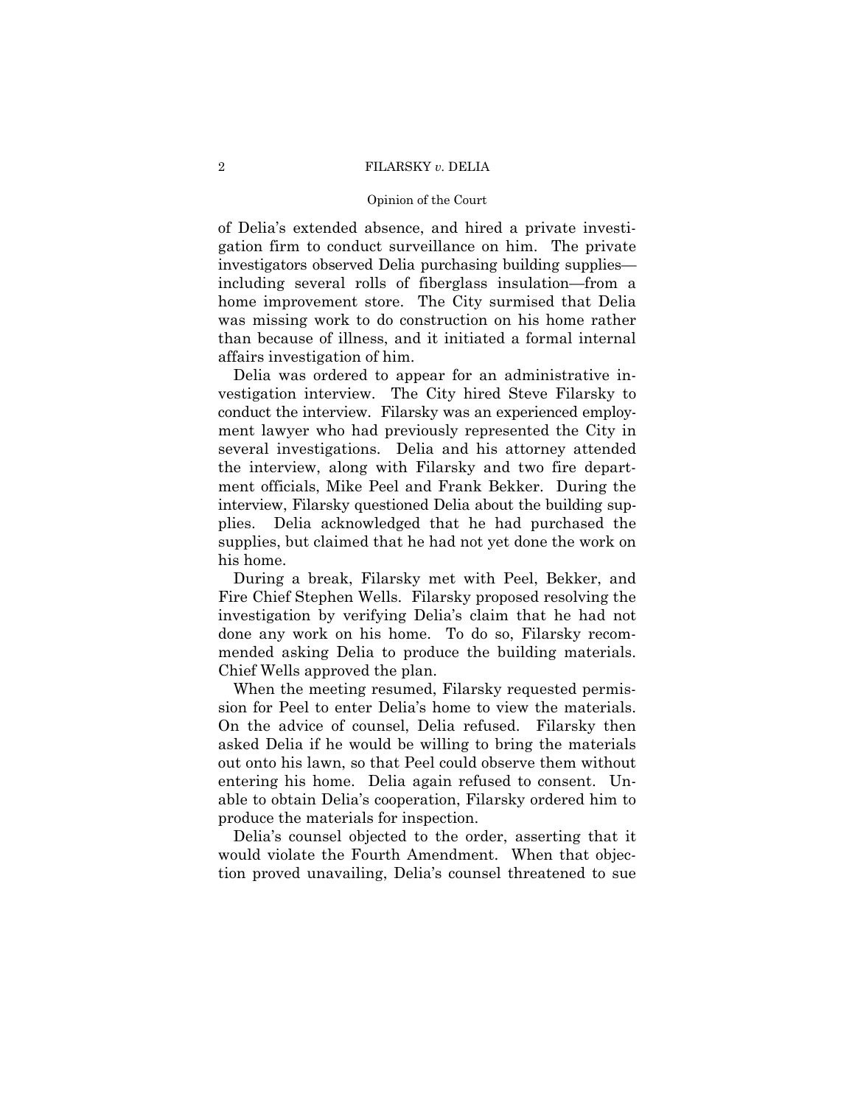#### Opinion of the Court

of Delia's extended absence, and hired a private investigation firm to conduct surveillance on him. The private investigators observed Delia purchasing building supplies including several rolls of fiberglass insulation—from a home improvement store. The City surmised that Delia was missing work to do construction on his home rather than because of illness, and it initiated a formal internal affairs investigation of him.

Delia was ordered to appear for an administrative investigation interview. The City hired Steve Filarsky to conduct the interview. Filarsky was an experienced employment lawyer who had previously represented the City in several investigations. Delia and his attorney attended the interview, along with Filarsky and two fire department officials, Mike Peel and Frank Bekker. During the interview, Filarsky questioned Delia about the building supplies. Delia acknowledged that he had purchased the supplies, but claimed that he had not yet done the work on his home.

During a break, Filarsky met with Peel, Bekker, and Fire Chief Stephen Wells. Filarsky proposed resolving the investigation by verifying Delia's claim that he had not done any work on his home. To do so, Filarsky recommended asking Delia to produce the building materials. Chief Wells approved the plan.

When the meeting resumed, Filarsky requested permission for Peel to enter Delia's home to view the materials. On the advice of counsel, Delia refused. Filarsky then asked Delia if he would be willing to bring the materials out onto his lawn, so that Peel could observe them without entering his home. Delia again refused to consent. Unable to obtain Delia's cooperation, Filarsky ordered him to produce the materials for inspection.

Delia's counsel objected to the order, asserting that it would violate the Fourth Amendment. When that objection proved unavailing, Delia's counsel threatened to sue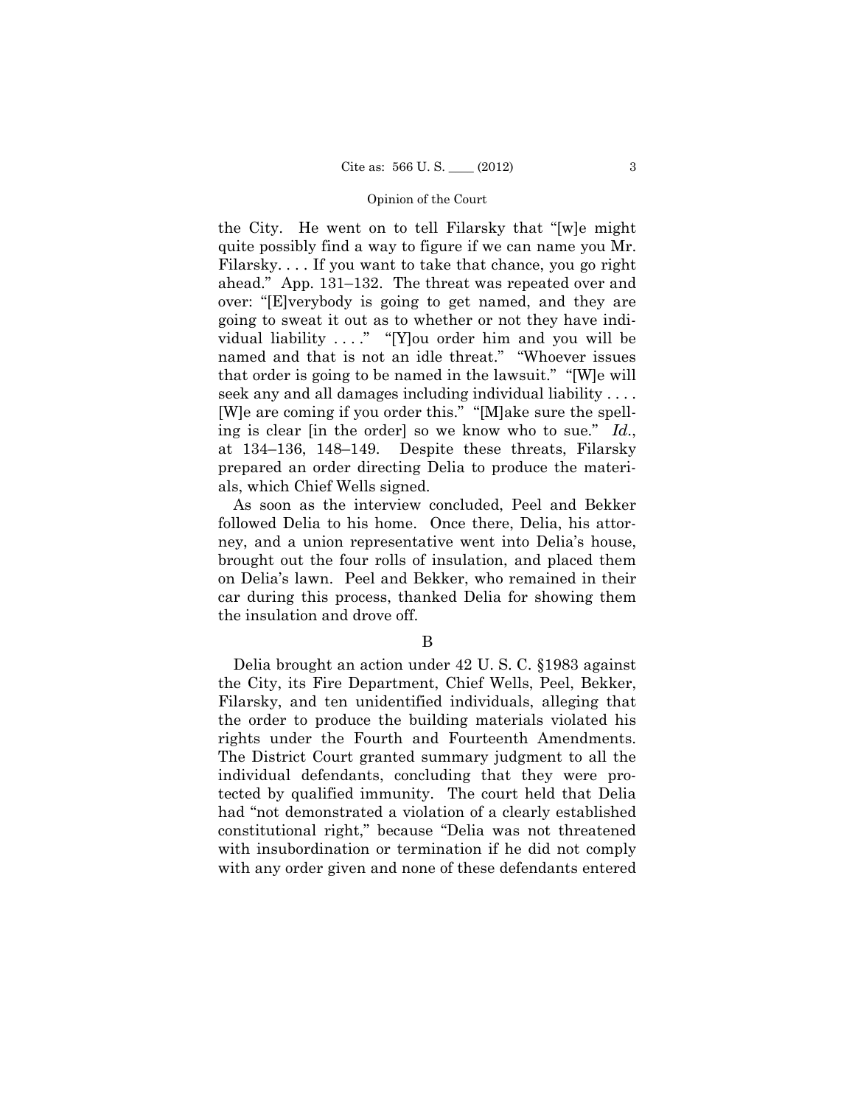seek any and all damages including individual liability . . . . the City. He went on to tell Filarsky that "[w]e might quite possibly find a way to figure if we can name you Mr. Filarsky. . . . If you want to take that chance, you go right ahead." App. 131–132. The threat was repeated over and over: "[E]verybody is going to get named, and they are going to sweat it out as to whether or not they have individual liability . . . ." "[Y]ou order him and you will be named and that is not an idle threat." "Whoever issues that order is going to be named in the lawsuit." "[W]e will [W]e are coming if you order this." "[M]ake sure the spelling is clear [in the order] so we know who to sue." *Id*., at 134–136, 148–149. Despite these threats, Filarsky prepared an order directing Delia to produce the materials, which Chief Wells signed.

As soon as the interview concluded, Peel and Bekker followed Delia to his home. Once there, Delia, his attorney, and a union representative went into Delia's house, brought out the four rolls of insulation, and placed them on Delia's lawn. Peel and Bekker, who remained in their car during this process, thanked Delia for showing them the insulation and drove off.

Delia brought an action under 42 U. S. C. §1983 against the City, its Fire Department, Chief Wells, Peel, Bekker, Filarsky, and ten unidentified individuals, alleging that the order to produce the building materials violated his rights under the Fourth and Fourteenth Amendments. The District Court granted summary judgment to all the individual defendants, concluding that they were protected by qualified immunity. The court held that Delia had "not demonstrated a violation of a clearly established constitutional right," because "Delia was not threatened with insubordination or termination if he did not comply with any order given and none of these defendants entered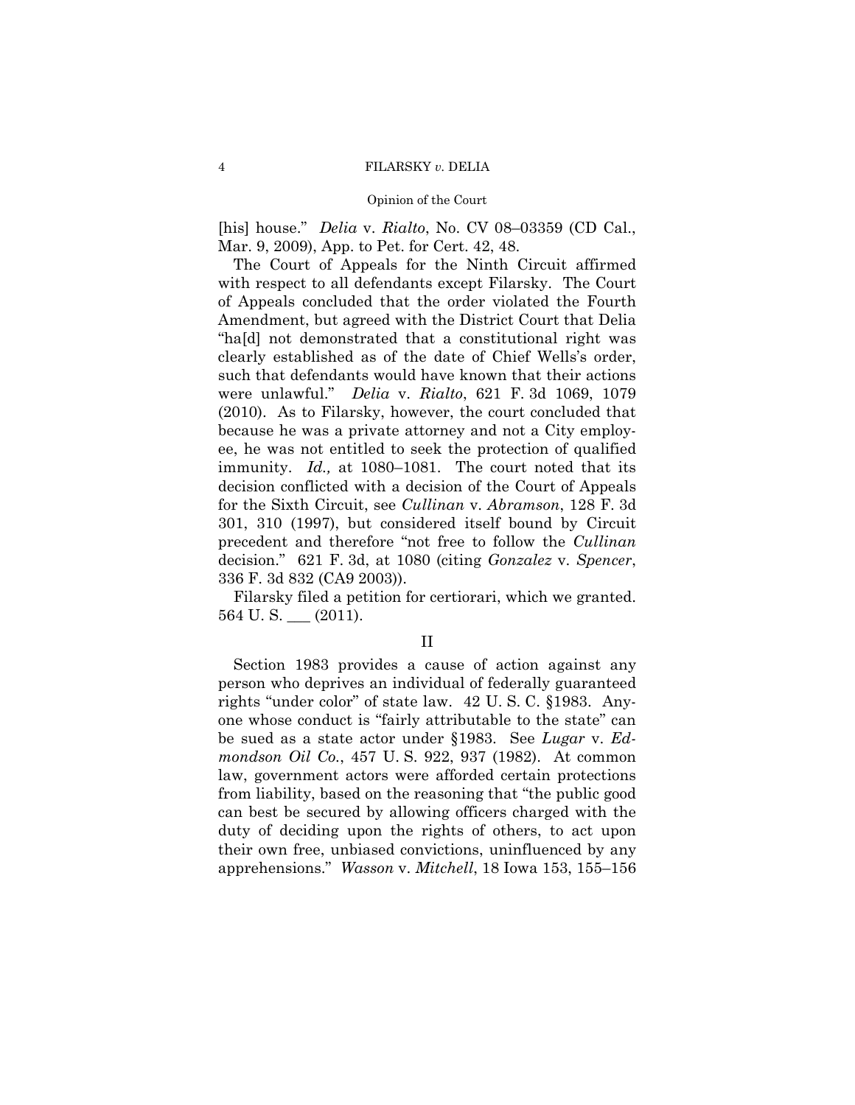[his] house." *Delia* v. *Rialto*, No. CV 08–03359 (CD Cal., Mar. 9, 2009), App. to Pet. for Cert. 42, 48.

The Court of Appeals for the Ninth Circuit affirmed with respect to all defendants except Filarsky. The Court of Appeals concluded that the order violated the Fourth Amendment, but agreed with the District Court that Delia "ha[d] not demonstrated that a constitutional right was clearly established as of the date of Chief Wells's order, such that defendants would have known that their actions were unlawful." *Delia* v. *Rialto*, 621 F. 3d 1069, 1079 (2010). As to Filarsky, however, the court concluded that because he was a private attorney and not a City employee, he was not entitled to seek the protection of qualified immunity. *Id.,* at 1080–1081. The court noted that its decision conflicted with a decision of the Court of Appeals for the Sixth Circuit, see *Cullinan* v. *Abramson*, 128 F. 3d 301, 310 (1997), but considered itself bound by Circuit precedent and therefore "not free to follow the *Cullinan*  decision." 621 F. 3d, at 1080 (citing *Gonzalez* v. *Spencer*, 336 F. 3d 832 (CA9 2003)).

Filarsky filed a petition for certiorari, which we granted.  $564$  U.S.  $\_\_$  (2011).

II

Section 1983 provides a cause of action against any person who deprives an individual of federally guaranteed rights "under color" of state law. 42 U. S. C. §1983. Anyone whose conduct is "fairly attributable to the state" can be sued as a state actor under §1983. See *Lugar* v. *Edmondson Oil Co.*, 457 U. S. 922, 937 (1982). At common law, government actors were afforded certain protections from liability, based on the reasoning that "the public good can best be secured by allowing officers charged with the duty of deciding upon the rights of others, to act upon their own free, unbiased convictions, uninfluenced by any apprehensions." *Wasson* v. *Mitchell*, 18 Iowa 153, 155–156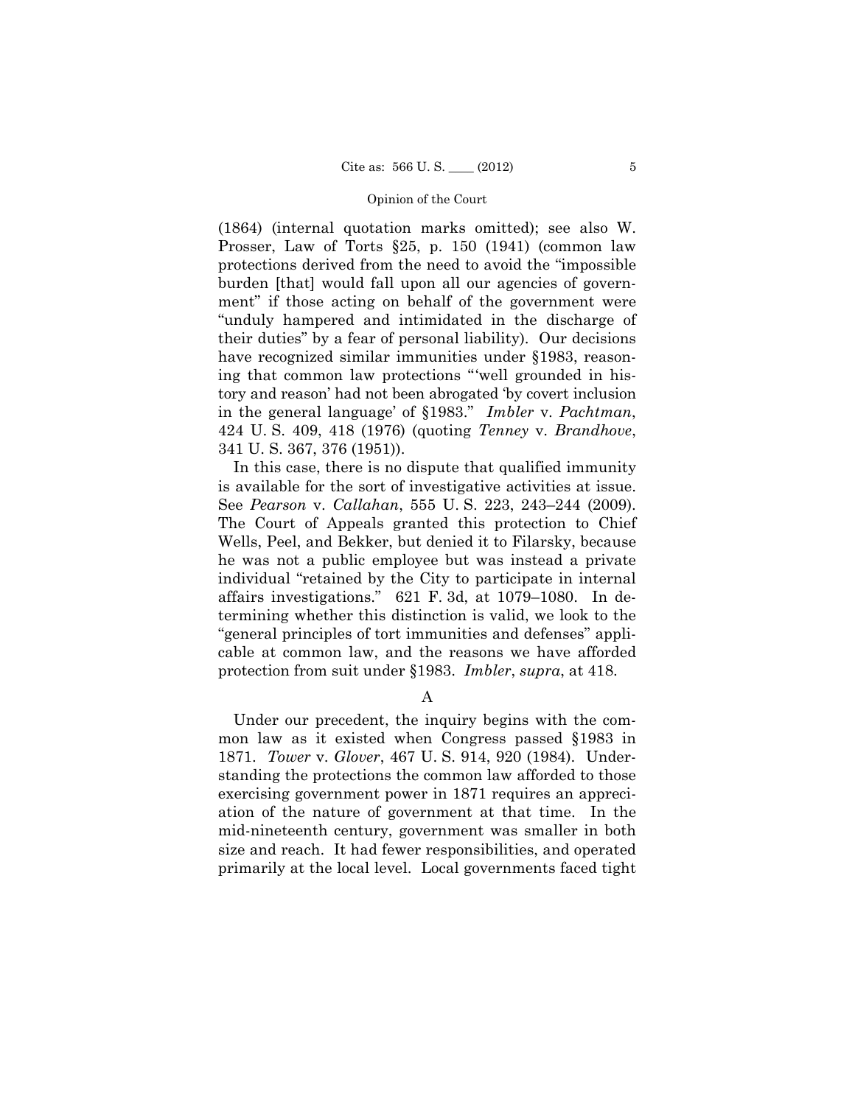(1864) (internal quotation marks omitted); see also W. Prosser, Law of Torts §25, p. 150 (1941) (common law protections derived from the need to avoid the "impossible burden [that] would fall upon all our agencies of government" if those acting on behalf of the government were "unduly hampered and intimidated in the discharge of their duties" by a fear of personal liability). Our decisions have recognized similar immunities under §1983, reasoning that common law protections " 'well grounded in history and reason' had not been abrogated 'by covert inclusion in the general language' of §1983." *Imbler* v. *Pachtman*, 424 U. S. 409, 418 (1976) (quoting *Tenney* v. *Brandhove*, 341 U. S. 367, 376 (1951)).

 See *Pearson* v. *Callahan*, 555 U. S. 223, 243–244 (2009). In this case, there is no dispute that qualified immunity is available for the sort of investigative activities at issue. The Court of Appeals granted this protection to Chief Wells, Peel, and Bekker, but denied it to Filarsky, because he was not a public employee but was instead a private individual "retained by the City to participate in internal affairs investigations." 621 F. 3d, at 1079–1080. In determining whether this distinction is valid, we look to the "general principles of tort immunities and defenses" applicable at common law, and the reasons we have afforded protection from suit under §1983. *Imbler*, *supra*, at 418.

A

Under our precedent, the inquiry begins with the common law as it existed when Congress passed §1983 in 1871. *Tower* v. *Glover*, 467 U. S. 914, 920 (1984). Understanding the protections the common law afforded to those exercising government power in 1871 requires an appreciation of the nature of government at that time. In the mid-nineteenth century, government was smaller in both size and reach. It had fewer responsibilities, and operated primarily at the local level. Local governments faced tight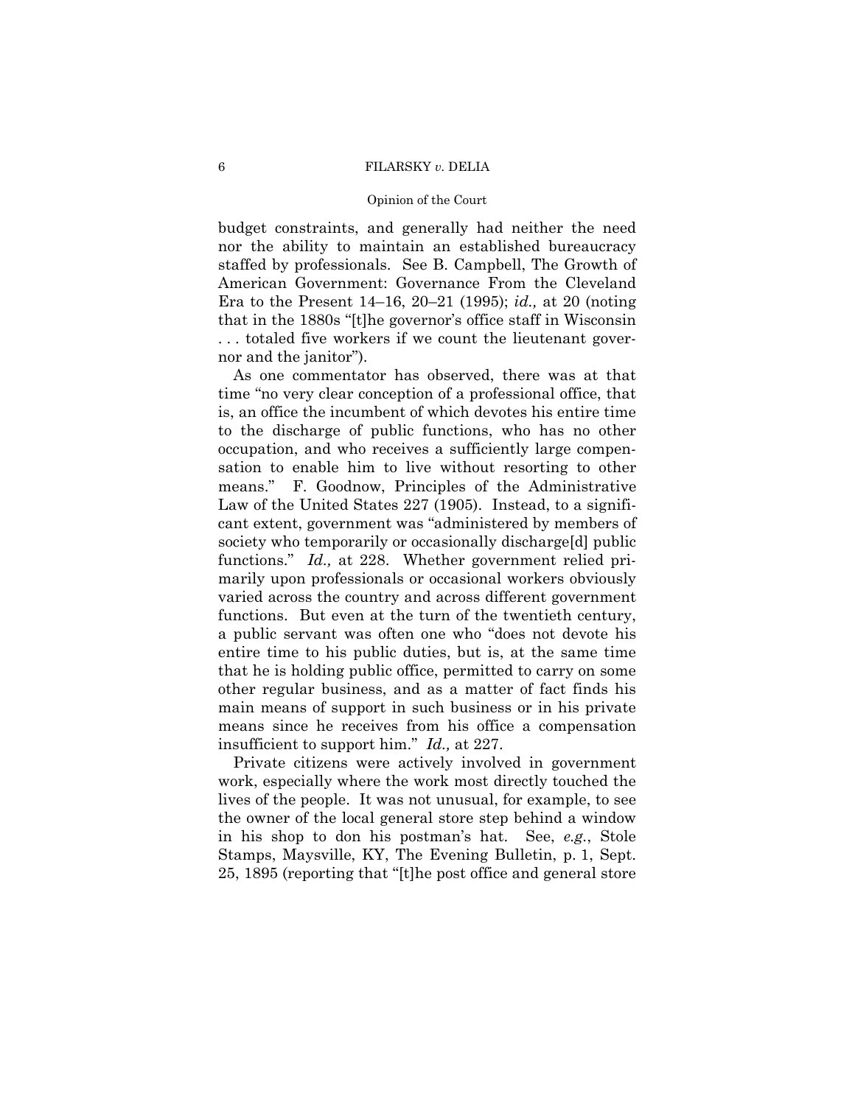#### Opinion of the Court

budget constraints, and generally had neither the need nor the ability to maintain an established bureaucracy staffed by professionals. See B. Campbell, The Growth of American Government: Governance From the Cleveland Era to the Present 14–16, 20–21 (1995); *id.,* at 20 (noting that in the 1880s "[t]he governor's office staff in Wisconsin . . . totaled five workers if we count the lieutenant governor and the janitor").

As one commentator has observed, there was at that time "no very clear conception of a professional office, that is, an office the incumbent of which devotes his entire time to the discharge of public functions, who has no other occupation, and who receives a sufficiently large compensation to enable him to live without resorting to other means." F. Goodnow, Principles of the Administrative Law of the United States 227 (1905). Instead, to a significant extent, government was "administered by members of society who temporarily or occasionally discharge[d] public functions." *Id.,* at 228. Whether government relied primarily upon professionals or occasional workers obviously varied across the country and across different government functions. But even at the turn of the twentieth century, a public servant was often one who "does not devote his entire time to his public duties, but is, at the same time that he is holding public office, permitted to carry on some other regular business, and as a matter of fact finds his main means of support in such business or in his private means since he receives from his office a compensation insufficient to support him." *Id.,* at 227.

Private citizens were actively involved in government work, especially where the work most directly touched the lives of the people. It was not unusual, for example, to see the owner of the local general store step behind a window in his shop to don his postman's hat. See, *e.g.*, Stole Stamps, Maysville, KY, The Evening Bulletin, p. 1, Sept. 25, 1895 (reporting that "[t]he post office and general store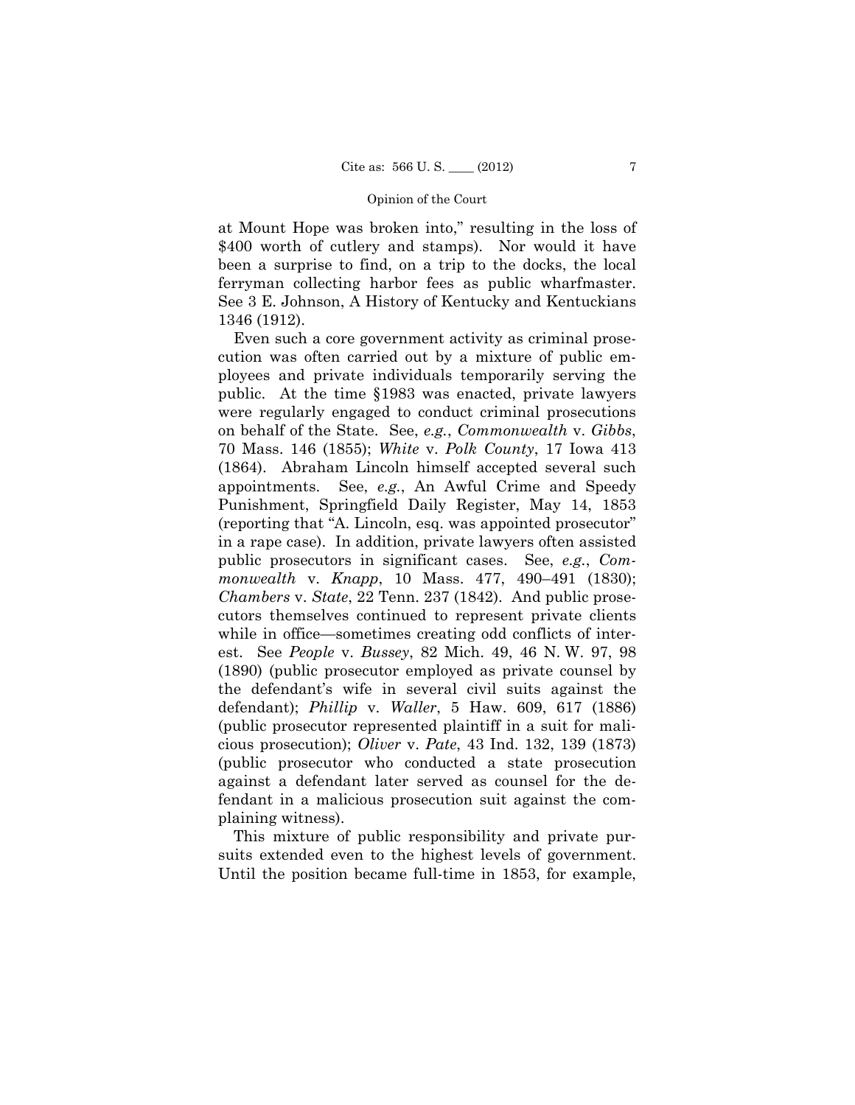at Mount Hope was broken into," resulting in the loss of \$400 worth of cutlery and stamps). Nor would it have been a surprise to find, on a trip to the docks, the local ferryman collecting harbor fees as public wharfmaster. See 3 E. Johnson, A History of Kentucky and Kentuckians 1346 (1912).

Even such a core government activity as criminal prosecution was often carried out by a mixture of public employees and private individuals temporarily serving the public. At the time §1983 was enacted, private lawyers were regularly engaged to conduct criminal prosecutions on behalf of the State. See, *e.g.*, *Commonwealth* v. *Gibbs*, 70 Mass. 146 (1855); *White* v. *Polk County*, 17 Iowa 413 (1864). Abraham Lincoln himself accepted several such appointments. See, *e.g.*, An Awful Crime and Speedy Punishment, Springfield Daily Register, May 14, 1853 (reporting that "A. Lincoln, esq. was appointed prosecutor" in a rape case). In addition, private lawyers often assisted public prosecutors in significant cases. See, *e.g.*, *Commonwealth* v. *Knapp*, 10 Mass. 477, 490–491 (1830); *Chambers* v. *State*, 22 Tenn. 237 (1842). And public prosecutors themselves continued to represent private clients while in office—sometimes creating odd conflicts of interest. See *People* v. *Bussey*, 82 Mich. 49, 46 N. W. 97, 98 (1890) (public prosecutor employed as private counsel by the defendant's wife in several civil suits against the defendant); *Phillip* v. *Waller*, 5 Haw. 609, 617 (1886) (public prosecutor represented plaintiff in a suit for malicious prosecution); *Oliver* v. *Pate*, 43 Ind. 132, 139 (1873) (public prosecutor who conducted a state prosecution against a defendant later served as counsel for the defendant in a malicious prosecution suit against the complaining witness).

This mixture of public responsibility and private pursuits extended even to the highest levels of government. Until the position became full-time in 1853, for example,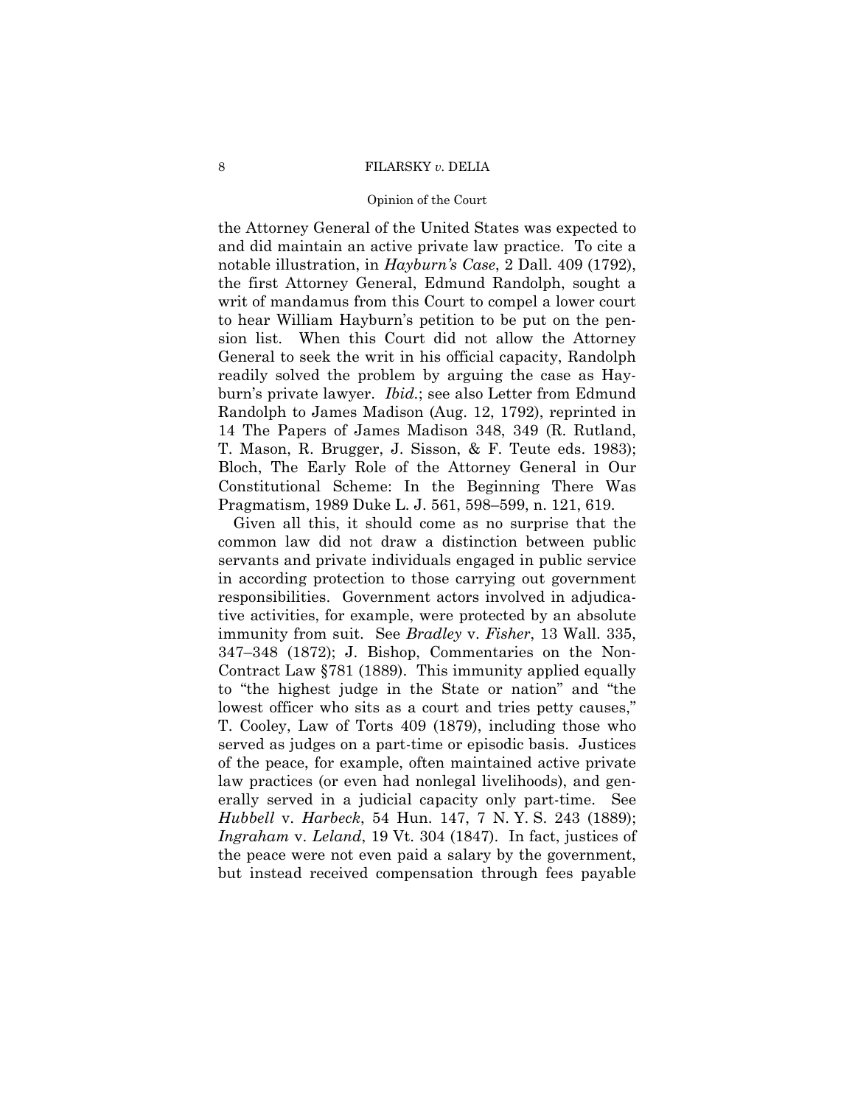#### Opinion of the Court

 burn's private lawyer. *Ibid.*; see also Letter from Edmund the Attorney General of the United States was expected to and did maintain an active private law practice. To cite a notable illustration, in *Hayburn's Case*, 2 Dall. 409 (1792), the first Attorney General, Edmund Randolph, sought a writ of mandamus from this Court to compel a lower court to hear William Hayburn's petition to be put on the pension list. When this Court did not allow the Attorney General to seek the writ in his official capacity, Randolph readily solved the problem by arguing the case as Hay-Randolph to James Madison (Aug. 12, 1792), reprinted in 14 The Papers of James Madison 348, 349 (R. Rutland, T. Mason, R. Brugger, J. Sisson, & F. Teute eds. 1983); Bloch, The Early Role of the Attorney General in Our Constitutional Scheme: In the Beginning There Was Pragmatism, 1989 Duke L. J. 561, 598–599, n. 121, 619.

Given all this, it should come as no surprise that the common law did not draw a distinction between public servants and private individuals engaged in public service in according protection to those carrying out government responsibilities. Government actors involved in adjudicative activities, for example, were protected by an absolute immunity from suit. See *Bradley* v. *Fisher*, 13 Wall. 335, 347–348 (1872); J. Bishop, Commentaries on the Non-Contract Law §781 (1889). This immunity applied equally to "the highest judge in the State or nation" and "the lowest officer who sits as a court and tries petty causes," T. Cooley, Law of Torts 409 (1879), including those who served as judges on a part-time or episodic basis. Justices of the peace, for example, often maintained active private law practices (or even had nonlegal livelihoods), and generally served in a judicial capacity only part-time. See *Hubbell* v. *Harbeck*, 54 Hun. 147, 7 N. Y. S. 243 (1889); *Ingraham* v. *Leland*, 19 Vt. 304 (1847). In fact, justices of the peace were not even paid a salary by the government, but instead received compensation through fees payable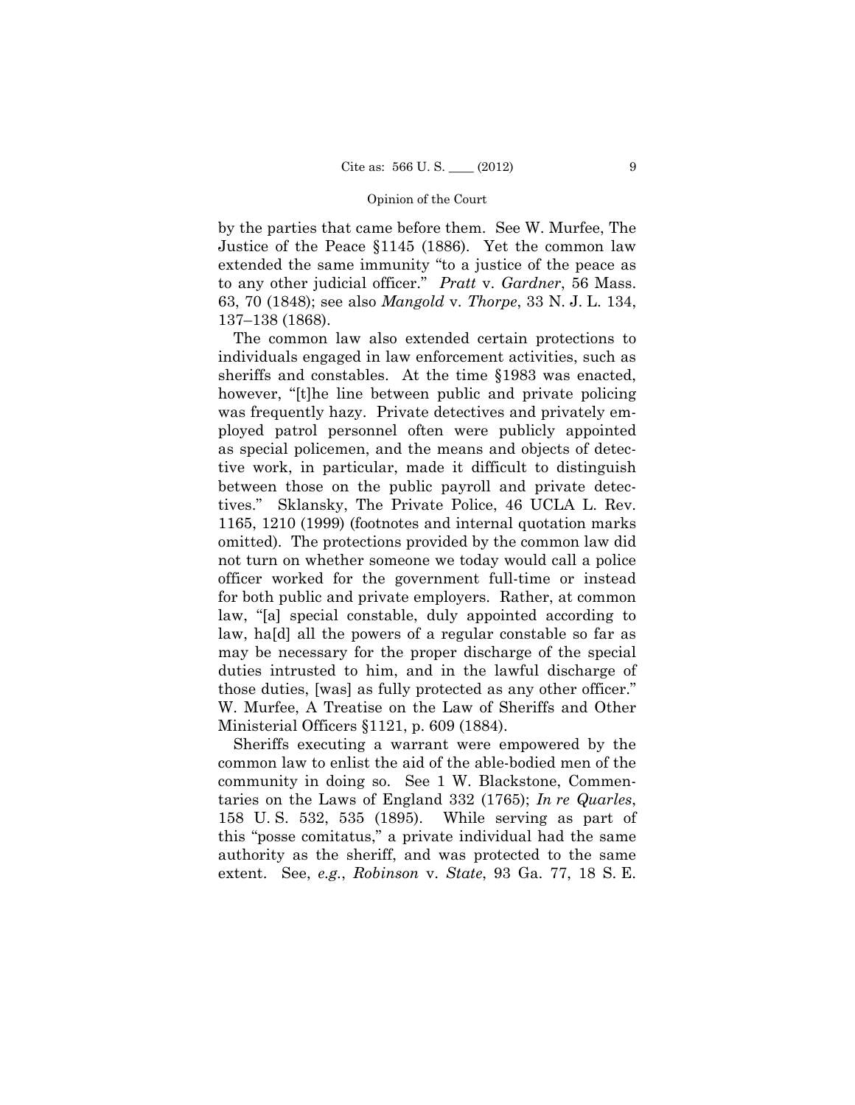by the parties that came before them. See W. Murfee, The Justice of the Peace §1145 (1886). Yet the common law extended the same immunity "to a justice of the peace as to any other judicial officer." *Pratt* v. *Gardner*, 56 Mass. 63, 70 (1848); see also *Mangold* v. *Thorpe*, 33 N. J. L. 134, 137–138 (1868).

The common law also extended certain protections to individuals engaged in law enforcement activities, such as sheriffs and constables. At the time §1983 was enacted, however, "[t]he line between public and private policing was frequently hazy. Private detectives and privately employed patrol personnel often were publicly appointed as special policemen, and the means and objects of detective work, in particular, made it difficult to distinguish between those on the public payroll and private detectives." Sklansky, The Private Police, 46 UCLA L. Rev. 1165, 1210 (1999) (footnotes and internal quotation marks omitted). The protections provided by the common law did not turn on whether someone we today would call a police officer worked for the government full-time or instead for both public and private employers. Rather, at common law, "[a] special constable, duly appointed according to law, ha[d] all the powers of a regular constable so far as may be necessary for the proper discharge of the special duties intrusted to him, and in the lawful discharge of those duties, [was] as fully protected as any other officer." W. Murfee, A Treatise on the Law of Sheriffs and Other Ministerial Officers §1121, p. 609 (1884).

Sheriffs executing a warrant were empowered by the common law to enlist the aid of the able-bodied men of the community in doing so. See 1 W. Blackstone, Commentaries on the Laws of England 332 (1765); *In re Quarles*, 158 U. S. 532, 535 (1895). While serving as part of this "posse comitatus," a private individual had the same authority as the sheriff, and was protected to the same extent. See, *e.g.*, *Robinson* v. *State*, 93 Ga. 77, 18 S. E.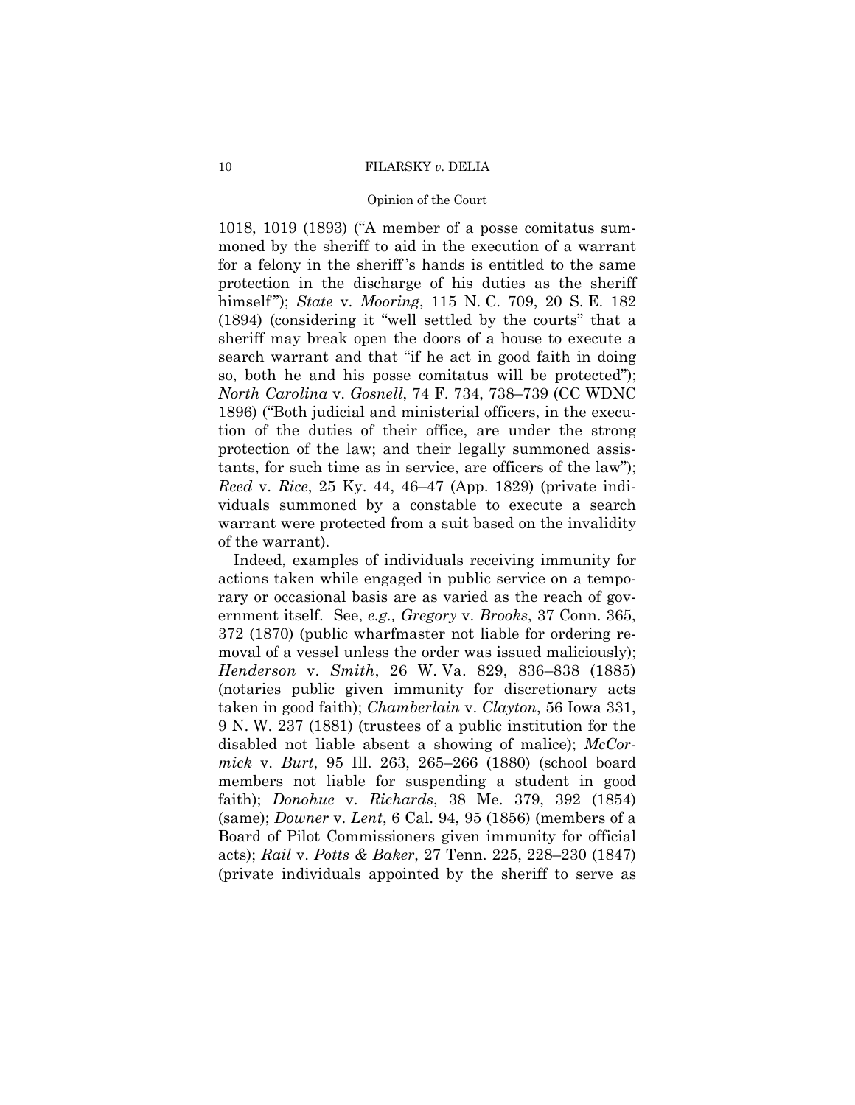#### Opinion of the Court

1018, 1019 (1893) ("A member of a posse comitatus summoned by the sheriff to aid in the execution of a warrant for a felony in the sheriff 's hands is entitled to the same protection in the discharge of his duties as the sheriff himself "); *State* v. *Mooring*, 115 N. C. 709, 20 S. E. 182 (1894) (considering it "well settled by the courts" that a sheriff may break open the doors of a house to execute a search warrant and that "if he act in good faith in doing so, both he and his posse comitatus will be protected"); *North Carolina* v. *Gosnell*, 74 F. 734, 738–739 (CC WDNC 1896) ("Both judicial and ministerial officers, in the execution of the duties of their office, are under the strong protection of the law; and their legally summoned assistants, for such time as in service, are officers of the law"); *Reed* v. *Rice*, 25 Ky. 44, 46–47 (App. 1829) (private individuals summoned by a constable to execute a search warrant were protected from a suit based on the invalidity of the warrant).

Indeed, examples of individuals receiving immunity for actions taken while engaged in public service on a temporary or occasional basis are as varied as the reach of government itself. See, *e.g., Gregory* v. *Brooks*, 37 Conn. 365, 372 (1870) (public wharfmaster not liable for ordering removal of a vessel unless the order was issued maliciously); *Henderson* v. *Smith*, 26 W. Va. 829, 836–838 (1885) (notaries public given immunity for discretionary acts taken in good faith); *Chamberlain* v. *Clayton*, 56 Iowa 331, 9 N. W. 237 (1881) (trustees of a public institution for the disabled not liable absent a showing of malice); *McCormick* v. *Burt*, 95 Ill. 263, 265–266 (1880) (school board members not liable for suspending a student in good faith); *Donohue* v. *Richards*, 38 Me. 379, 392 (1854) (same); *Downer* v. *Lent*, 6 Cal. 94, 95 (1856) (members of a Board of Pilot Commissioners given immunity for official acts); *Rail* v. *Potts & Baker*, 27 Tenn. 225, 228–230 (1847) (private individuals appointed by the sheriff to serve as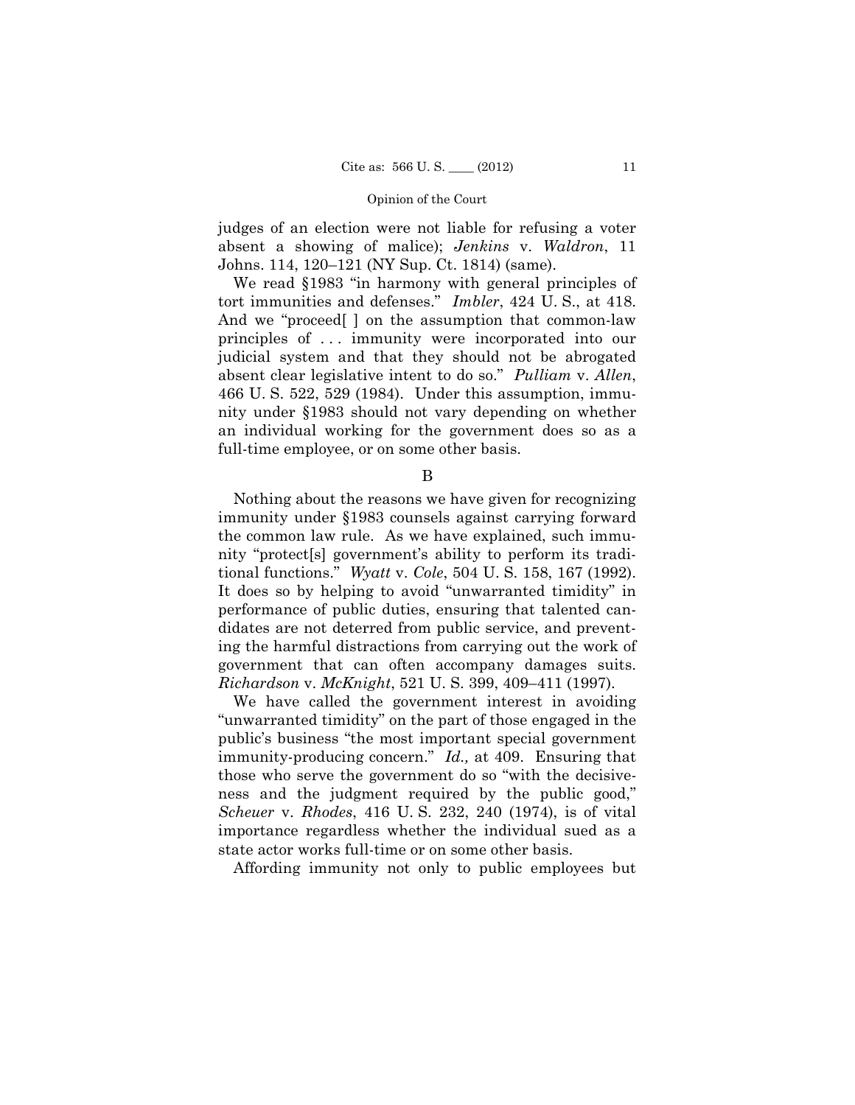judges of an election were not liable for refusing a voter absent a showing of malice); *Jenkins* v. *Waldron*, 11 Johns. 114, 120–121 (NY Sup. Ct. 1814) (same).

We read §1983 "in harmony with general principles of tort immunities and defenses." *Imbler*, 424 U. S., at 418. And we "proceed[ ] on the assumption that common-law principles of . . . immunity were incorporated into our judicial system and that they should not be abrogated absent clear legislative intent to do so." *Pulliam* v. *Allen*, 466 U. S. 522, 529 (1984). Under this assumption, immunity under §1983 should not vary depending on whether an individual working for the government does so as a full-time employee, or on some other basis.

B

Nothing about the reasons we have given for recognizing immunity under §1983 counsels against carrying forward the common law rule. As we have explained, such immunity "protect[s] government's ability to perform its traditional functions." *Wyatt* v. *Cole*, 504 U. S. 158, 167 (1992). It does so by helping to avoid "unwarranted timidity" in performance of public duties, ensuring that talented candidates are not deterred from public service, and preventing the harmful distractions from carrying out the work of government that can often accompany damages suits. *Richardson* v. *McKnight*, 521 U. S. 399, 409–411 (1997).

We have called the government interest in avoiding "unwarranted timidity" on the part of those engaged in the public's business "the most important special government immunity-producing concern." *Id.,* at 409. Ensuring that those who serve the government do so "with the decisiveness and the judgment required by the public good," *Scheuer* v. *Rhodes*, 416 U. S. 232, 240 (1974), is of vital importance regardless whether the individual sued as a state actor works full-time or on some other basis.

Affording immunity not only to public employees but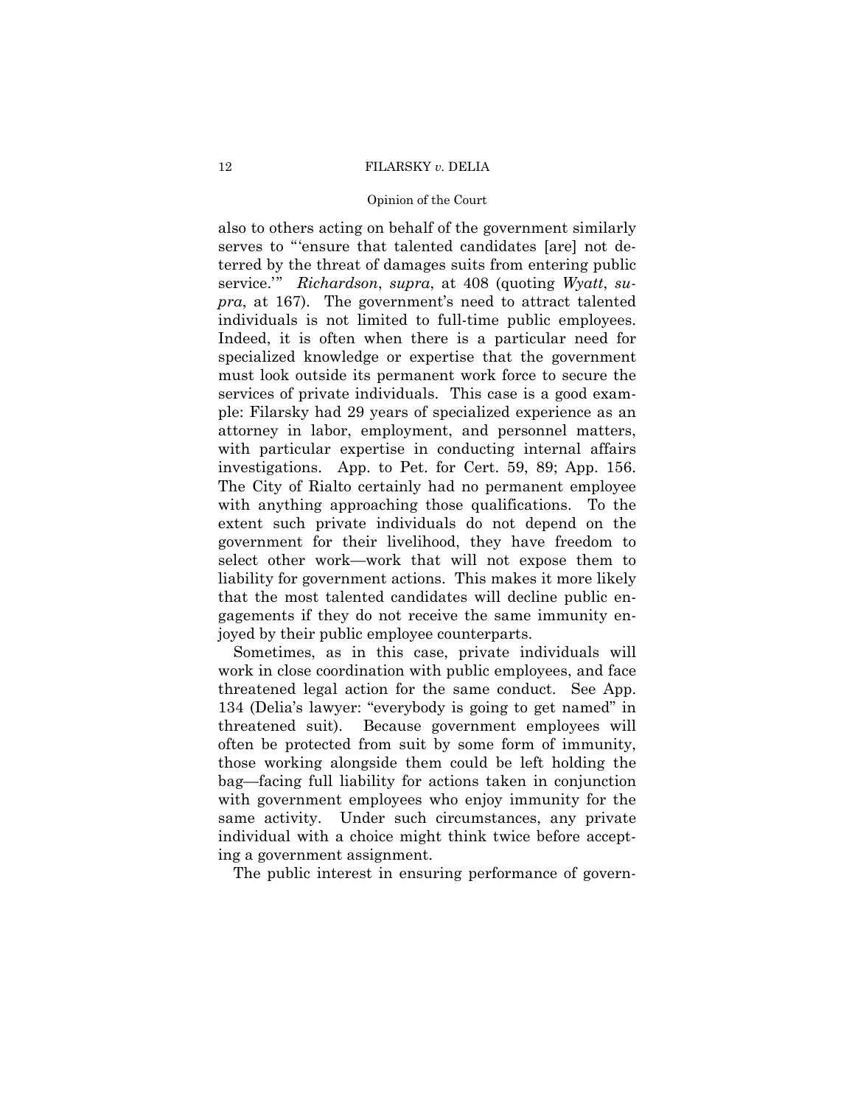#### Opinion of the Court

 investigations. App. to Pet. for Cert. 59, 89; App. 156. also to others acting on behalf of the government similarly serves to "'ensure that talented candidates [are] not deterred by the threat of damages suits from entering public service.'" *Richardson*, *supra*, at 408 (quoting *Wyatt*, *supra*, at 167). The government's need to attract talented individuals is not limited to full-time public employees. Indeed, it is often when there is a particular need for specialized knowledge or expertise that the government must look outside its permanent work force to secure the services of private individuals. This case is a good example: Filarsky had 29 years of specialized experience as an attorney in labor, employment, and personnel matters, with particular expertise in conducting internal affairs The City of Rialto certainly had no permanent employee with anything approaching those qualifications. To the extent such private individuals do not depend on the government for their livelihood, they have freedom to select other work—work that will not expose them to liability for government actions. This makes it more likely that the most talented candidates will decline public engagements if they do not receive the same immunity enjoyed by their public employee counterparts.

Sometimes, as in this case, private individuals will work in close coordination with public employees, and face threatened legal action for the same conduct. See App. 134 (Delia's lawyer: "everybody is going to get named" in threatened suit). Because government employees will often be protected from suit by some form of immunity, those working alongside them could be left holding the bag—facing full liability for actions taken in conjunction with government employees who enjoy immunity for the same activity. Under such circumstances, any private individual with a choice might think twice before accepting a government assignment.

The public interest in ensuring performance of govern-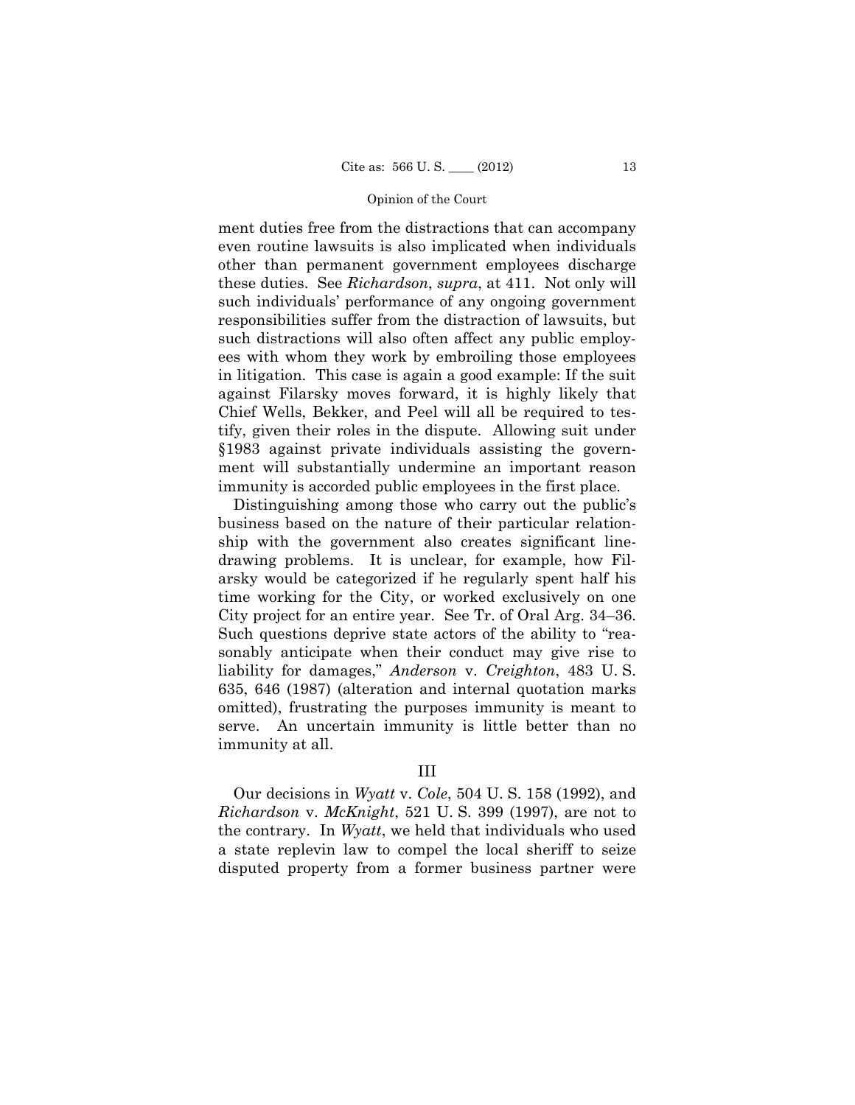ment duties free from the distractions that can accompany even routine lawsuits is also implicated when individuals other than permanent government employees discharge these duties. See *Richardson*, *supra*, at 411. Not only will such individuals' performance of any ongoing government responsibilities suffer from the distraction of lawsuits, but such distractions will also often affect any public employees with whom they work by embroiling those employees in litigation. This case is again a good example: If the suit against Filarsky moves forward, it is highly likely that Chief Wells, Bekker, and Peel will all be required to testify, given their roles in the dispute. Allowing suit under §1983 against private individuals assisting the government will substantially undermine an important reason immunity is accorded public employees in the first place.

Distinguishing among those who carry out the public's business based on the nature of their particular relationship with the government also creates significant linedrawing problems. It is unclear, for example, how Filarsky would be categorized if he regularly spent half his time working for the City, or worked exclusively on one City project for an entire year. See Tr. of Oral Arg. 34–36. Such questions deprive state actors of the ability to "reasonably anticipate when their conduct may give rise to liability for damages," *Anderson* v. *Creighton*, 483 U. S. 635, 646 (1987) (alteration and internal quotation marks omitted), frustrating the purposes immunity is meant to serve. An uncertain immunity is little better than no immunity at all.

### III

 Our decisions in *Wyatt* v. *Cole*, 504 U. S. 158 (1992), and *Richardson* v. *McKnight*, 521 U. S. 399 (1997), are not to the contrary. In *Wyatt*, we held that individuals who used a state replevin law to compel the local sheriff to seize disputed property from a former business partner were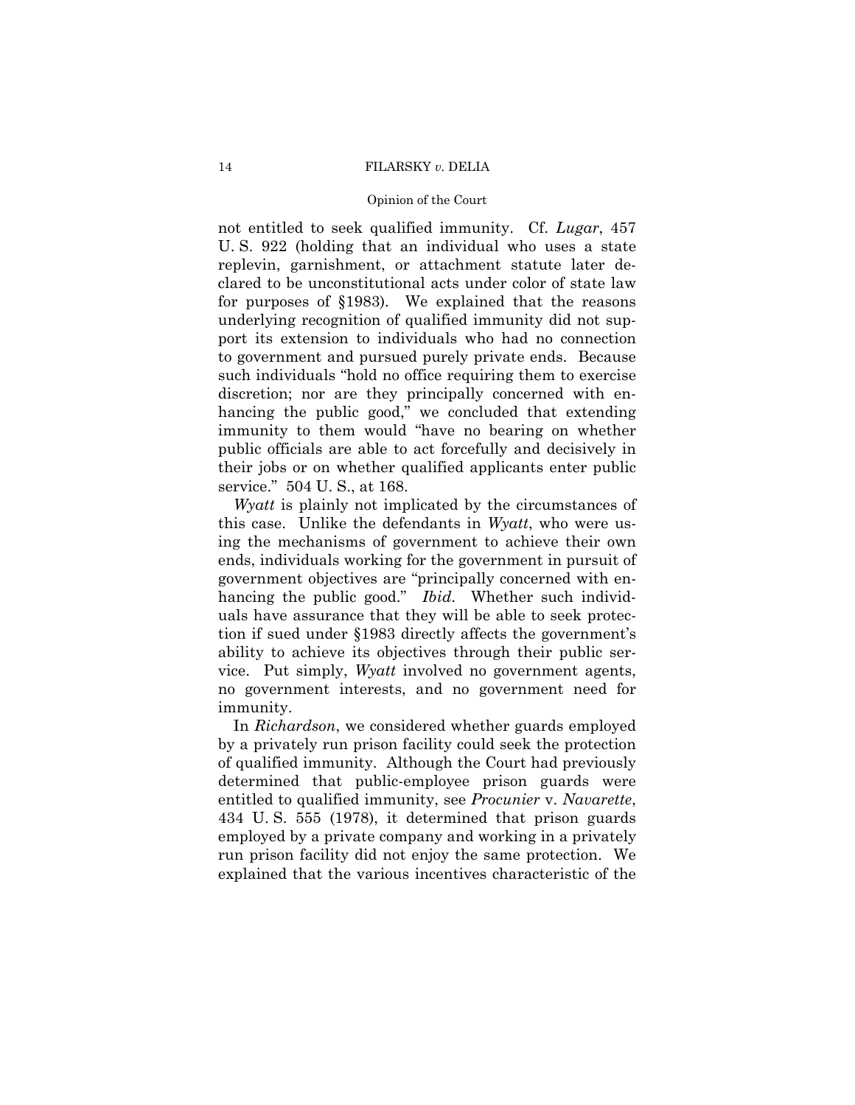#### Opinion of the Court

not entitled to seek qualified immunity. Cf. *Lugar*, 457 U. S. 922 (holding that an individual who uses a state replevin, garnishment, or attachment statute later declared to be unconstitutional acts under color of state law for purposes of §1983). We explained that the reasons underlying recognition of qualified immunity did not support its extension to individuals who had no connection to government and pursued purely private ends. Because such individuals "hold no office requiring them to exercise discretion; nor are they principally concerned with enhancing the public good," we concluded that extending immunity to them would "have no bearing on whether public officials are able to act forcefully and decisively in their jobs or on whether qualified applicants enter public service." 504 U. S., at 168.

*Wyatt* is plainly not implicated by the circumstances of this case. Unlike the defendants in *Wyatt*, who were using the mechanisms of government to achieve their own ends, individuals working for the government in pursuit of government objectives are "principally concerned with enhancing the public good." *Ibid*. Whether such individuals have assurance that they will be able to seek protection if sued under §1983 directly affects the government's ability to achieve its objectives through their public service. Put simply, *Wyatt* involved no government agents, no government interests, and no government need for immunity.

In *Richardson*, we considered whether guards employed by a privately run prison facility could seek the protection of qualified immunity. Although the Court had previously determined that public-employee prison guards were entitled to qualified immunity, see *Procunier* v. *Navarette*, 434 U. S. 555 (1978), it determined that prison guards employed by a private company and working in a privately run prison facility did not enjoy the same protection. We explained that the various incentives characteristic of the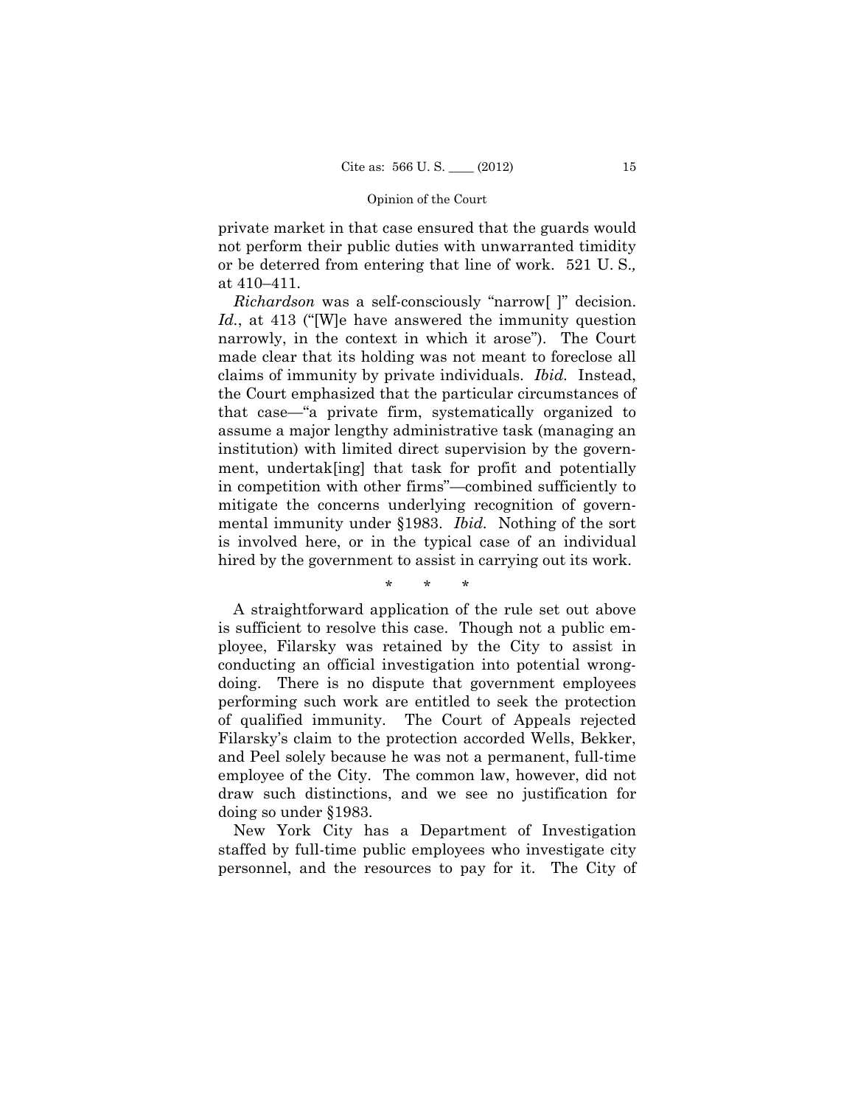private market in that case ensured that the guards would not perform their public duties with unwarranted timidity or be deterred from entering that line of work. 521 U. S.*,*  at 410–411.

 *Richardson* was a self-consciously "narrow[ ]" decision. claims of immunity by private individuals. *Ibid.* Instead, *Id.*, at 413 ("[W]e have answered the immunity question narrowly, in the context in which it arose"). The Court made clear that its holding was not meant to foreclose all the Court emphasized that the particular circumstances of that case—"a private firm, systematically organized to assume a major lengthy administrative task (managing an institution) with limited direct supervision by the government, undertak[ing] that task for profit and potentially in competition with other firms"—combined sufficiently to mitigate the concerns underlying recognition of governmental immunity under §1983. *Ibid.* Nothing of the sort is involved here, or in the typical case of an individual hired by the government to assist in carrying out its work.

\* \* \*

A straightforward application of the rule set out above is sufficient to resolve this case. Though not a public employee, Filarsky was retained by the City to assist in conducting an official investigation into potential wrongdoing. There is no dispute that government employees performing such work are entitled to seek the protection of qualified immunity. The Court of Appeals rejected Filarsky's claim to the protection accorded Wells, Bekker, and Peel solely because he was not a permanent, full-time employee of the City. The common law, however, did not draw such distinctions, and we see no justification for doing so under §1983.

New York City has a Department of Investigation staffed by full-time public employees who investigate city personnel, and the resources to pay for it. The City of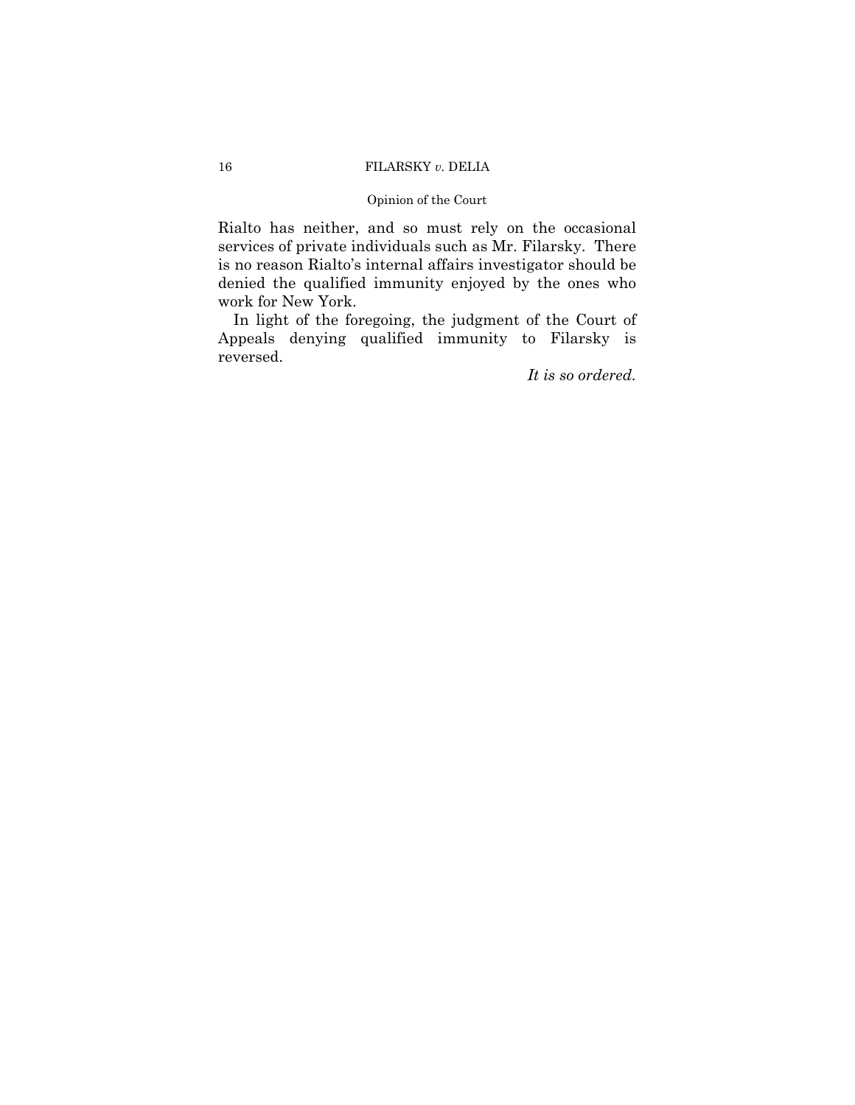## Opinion of the Court

Rialto has neither, and so must rely on the occasional services of private individuals such as Mr. Filarsky. There is no reason Rialto's internal affairs investigator should be denied the qualified immunity enjoyed by the ones who work for New York.

In light of the foregoing, the judgment of the Court of Appeals denying qualified immunity to Filarsky is reversed.

*It is so ordered.*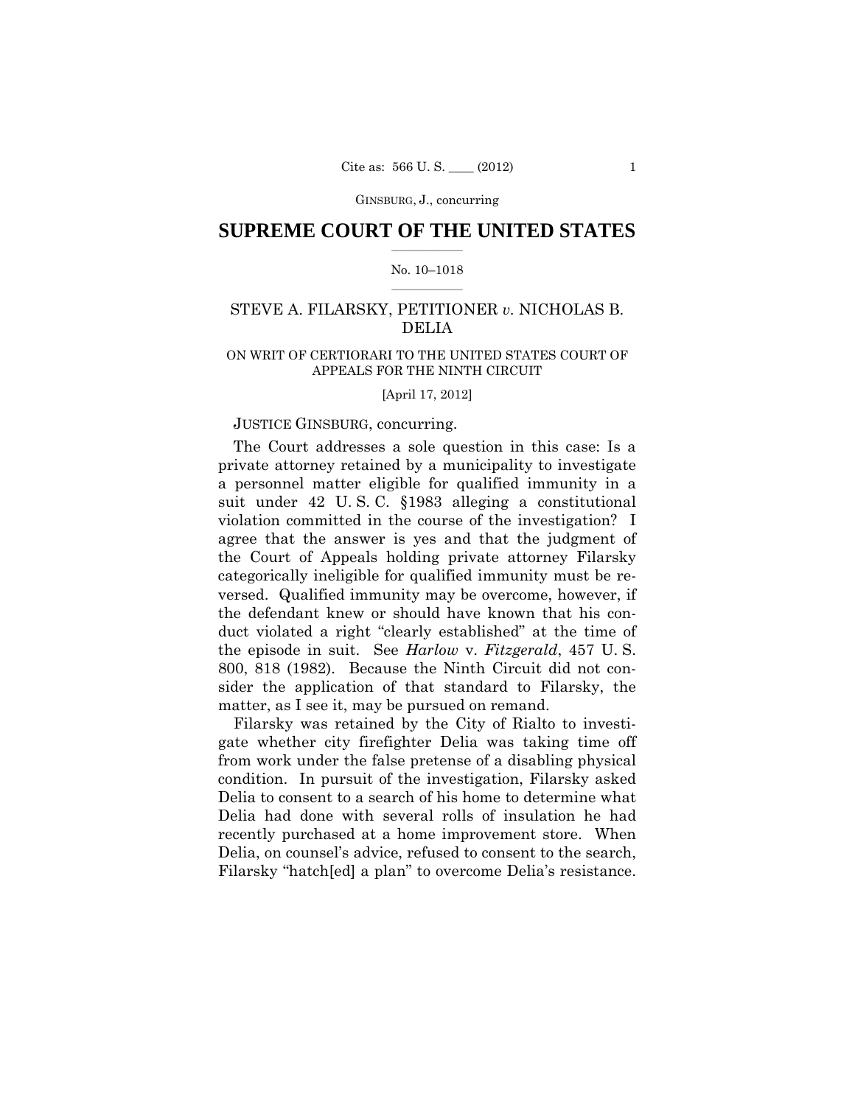GINSBURG, J., concurring

### $\frac{1}{2}$  , where  $\frac{1}{2}$ **SUPREME COURT OF THE UNITED STATES**

#### $\frac{1}{2}$  ,  $\frac{1}{2}$  ,  $\frac{1}{2}$  ,  $\frac{1}{2}$  ,  $\frac{1}{2}$  ,  $\frac{1}{2}$ No. 10–1018

# STEVE A. FILARSKY, PETITIONER *v.* NICHOLAS B. DELIA

## ON WRIT OF CERTIORARI TO THE UNITED STATES COURT OF APPEALS FOR THE NINTH CIRCUIT

[April 17, 2012]

### JUSTICE GINSBURG, concurring.

The Court addresses a sole question in this case: Is a private attorney retained by a municipality to investigate a personnel matter eligible for qualified immunity in a suit under 42 U. S. C. §1983 alleging a constitutional violation committed in the course of the investigation? I agree that the answer is yes and that the judgment of the Court of Appeals holding private attorney Filarsky categorically ineligible for qualified immunity must be reversed. Qualified immunity may be overcome, however, if the defendant knew or should have known that his conduct violated a right "clearly established" at the time of the episode in suit. See *Harlow* v. *Fitzgerald*, 457 U. S. 800, 818 (1982). Because the Ninth Circuit did not consider the application of that standard to Filarsky, the matter, as I see it, may be pursued on remand.

Filarsky was retained by the City of Rialto to investigate whether city firefighter Delia was taking time off from work under the false pretense of a disabling physical condition. In pursuit of the investigation, Filarsky asked Delia to consent to a search of his home to determine what Delia had done with several rolls of insulation he had recently purchased at a home improvement store. When Delia, on counsel's advice, refused to consent to the search, Filarsky "hatch[ed] a plan" to overcome Delia's resistance.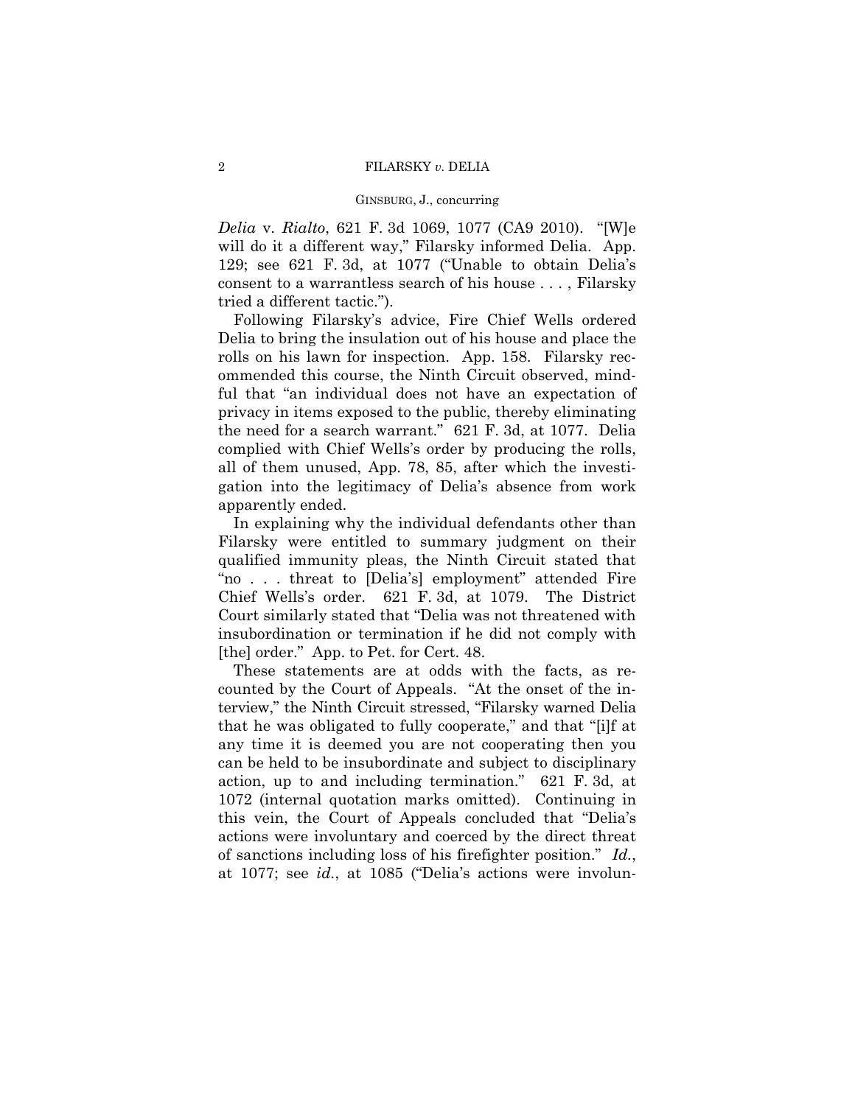#### GINSBURG, J., concurring

*Delia* v. *Rialto*, 621 F. 3d 1069, 1077 (CA9 2010). "[W]e will do it a different way," Filarsky informed Delia. App. 129; see 621 F. 3d, at 1077 ("Unable to obtain Delia's consent to a warrantless search of his house . . . , Filarsky tried a different tactic.").

 Following Filarsky's advice, Fire Chief Wells ordered Delia to bring the insulation out of his house and place the rolls on his lawn for inspection. App. 158. Filarsky recommended this course, the Ninth Circuit observed, mindful that "an individual does not have an expectation of privacy in items exposed to the public, thereby eliminating the need for a search warrant." 621 F. 3d, at 1077. Delia complied with Chief Wells's order by producing the rolls, all of them unused, App. 78, 85, after which the investigation into the legitimacy of Delia's absence from work apparently ended.

 In explaining why the individual defendants other than Filarsky were entitled to summary judgment on their qualified immunity pleas, the Ninth Circuit stated that "no . . . threat to [Delia's] employment" attended Fire Chief Wells's order. 621 F. 3d, at 1079. The District Court similarly stated that "Delia was not threatened with insubordination or termination if he did not comply with [the] order." App. to Pet. for Cert. 48.

 These statements are at odds with the facts, as recounted by the Court of Appeals. "At the onset of the interview," the Ninth Circuit stressed, "Filarsky warned Delia that he was obligated to fully cooperate," and that "[i]f at any time it is deemed you are not cooperating then you can be held to be insubordinate and subject to disciplinary action, up to and including termination." 621 F. 3d, at 1072 (internal quotation marks omitted). Continuing in this vein, the Court of Appeals concluded that "Delia's actions were involuntary and coerced by the direct threat of sanctions including loss of his firefighter position." *Id.*, at 1077; see *id.*, at 1085 ("Delia's actions were involun-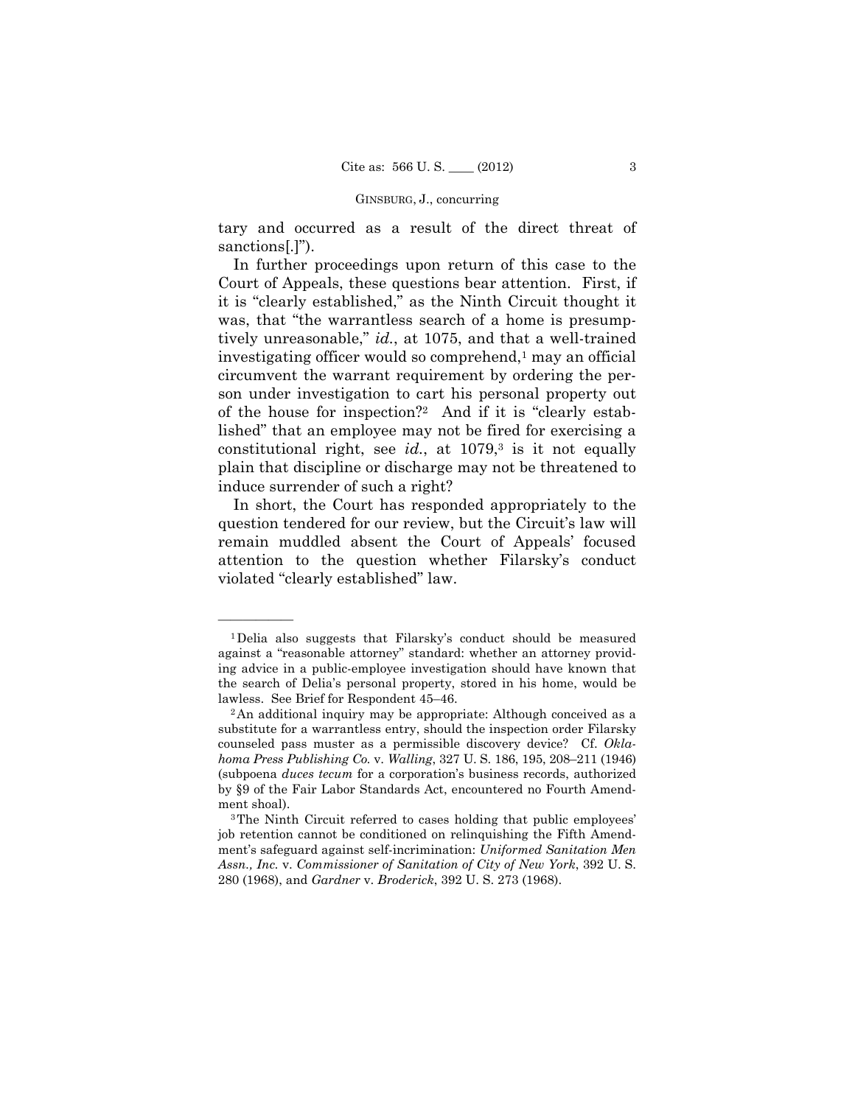#### GINSBURG, J., concurring

tary and occurred as a result of the direct threat of sanctions[.]").

In further proceedings upon return of this case to the Court of Appeals, these questions bear attention. First, if it is "clearly established," as the Ninth Circuit thought it was, that "the warrantless search of a home is presumptively unreasonable," *id.*, at 1075, and that a well-trained investigating officer would so comprehend,1 may an official circumvent the warrant requirement by ordering the person under investigation to cart his personal property out of the house for inspection?2 And if it is "clearly established" that an employee may not be fired for exercising a constitutional right, see  $id$ , at  $1079$ ,<sup>3</sup> is it not equally plain that discipline or discharge may not be threatened to induce surrender of such a right?

In short, the Court has responded appropriately to the question tendered for our review, but the Circuit's law will remain muddled absent the Court of Appeals' focused attention to the question whether Filarsky's conduct violated "clearly established" law.

——————

<sup>1</sup>Delia also suggests that Filarsky's conduct should be measured against a "reasonable attorney" standard: whether an attorney providing advice in a public-employee investigation should have known that the search of Delia's personal property, stored in his home, would be lawless. See Brief for Respondent  $45-46$ .<br><sup>2</sup>An additional inquiry may be appropriate: Although conceived as a

 *homa Press Publishing Co.* v. *Walling*, 327 U. S. 186, 195, 208–211 (1946) substitute for a warrantless entry, should the inspection order Filarsky counseled pass muster as a permissible discovery device? Cf. *Okla-*(subpoena *duces tecum* for a corporation's business records, authorized by §9 of the Fair Labor Standards Act, encountered no Fourth Amendment shoal).  $3$ The Ninth Circuit referred to cases holding that public employees'

 ment's safeguard against self-incrimination: *Uniformed Sanitation Men*  job retention cannot be conditioned on relinquishing the Fifth Amend-*Assn., Inc.* v. *Commissioner of Sanitation of City of New York*, 392 U. S. 280 (1968), and *Gardner* v. *Broderick*, 392 U. S. 273 (1968).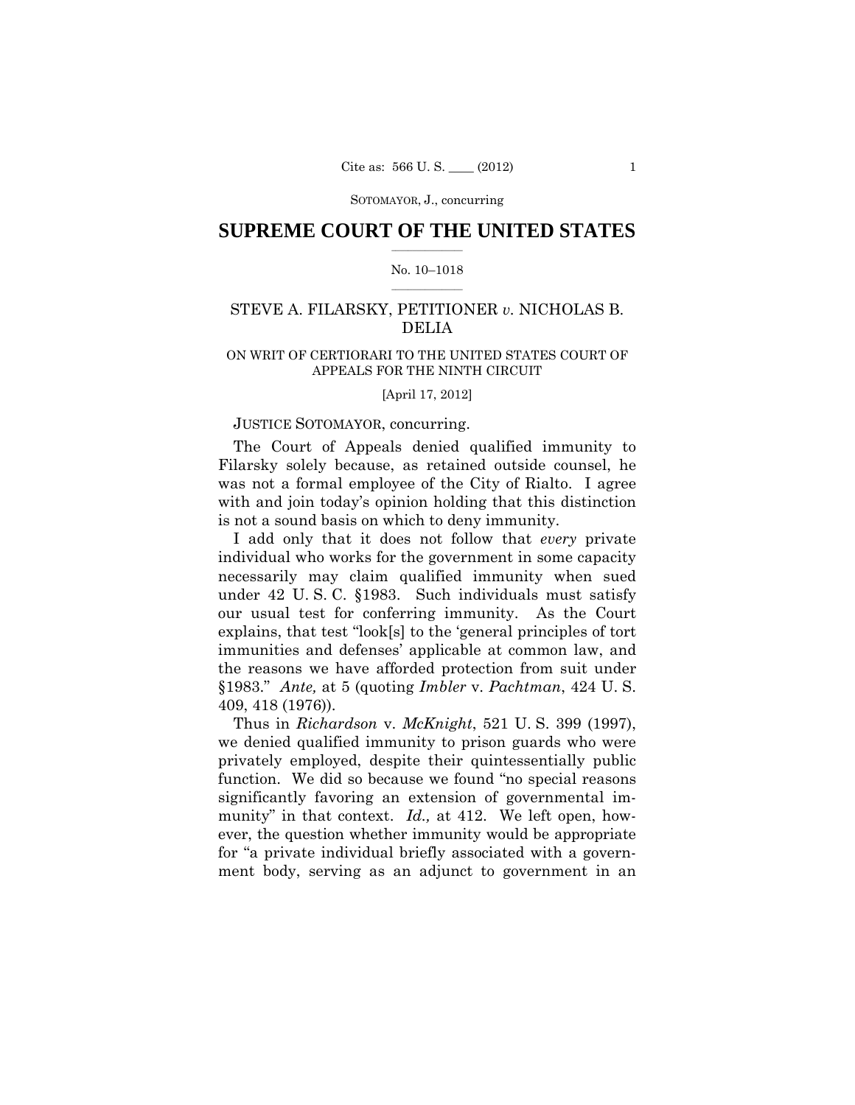SOTOMAYOR, J., concurring

### $\frac{1}{2}$  , where  $\frac{1}{2}$ **SUPREME COURT OF THE UNITED STATES**

#### $\frac{1}{2}$  ,  $\frac{1}{2}$  ,  $\frac{1}{2}$  ,  $\frac{1}{2}$  ,  $\frac{1}{2}$  ,  $\frac{1}{2}$ No. 10–1018

# STEVE A. FILARSKY, PETITIONER *v.* NICHOLAS B. DELIA

## ON WRIT OF CERTIORARI TO THE UNITED STATES COURT OF APPEALS FOR THE NINTH CIRCUIT

[April 17, 2012]

### JUSTICE SOTOMAYOR, concurring.

The Court of Appeals denied qualified immunity to Filarsky solely because, as retained outside counsel, he was not a formal employee of the City of Rialto. I agree with and join today's opinion holding that this distinction is not a sound basis on which to deny immunity.

I add only that it does not follow that *every* private individual who works for the government in some capacity necessarily may claim qualified immunity when sued under 42 U. S. C. §1983. Such individuals must satisfy our usual test for conferring immunity. As the Court explains, that test "look[s] to the 'general principles of tort immunities and defenses' applicable at common law, and the reasons we have afforded protection from suit under §1983." *Ante,* at 5 (quoting *Imbler* v. *Pachtman*, 424 U. S. 409, 418 (1976)).

 Thus in *Richardson* v. *McKnight*, 521 U. S. 399 (1997), we denied qualified immunity to prison guards who were privately employed, despite their quintessentially public function. We did so because we found "no special reasons significantly favoring an extension of governmental immunity" in that context. *Id.,* at 412. We left open, however, the question whether immunity would be appropriate for "a private individual briefly associated with a government body, serving as an adjunct to government in an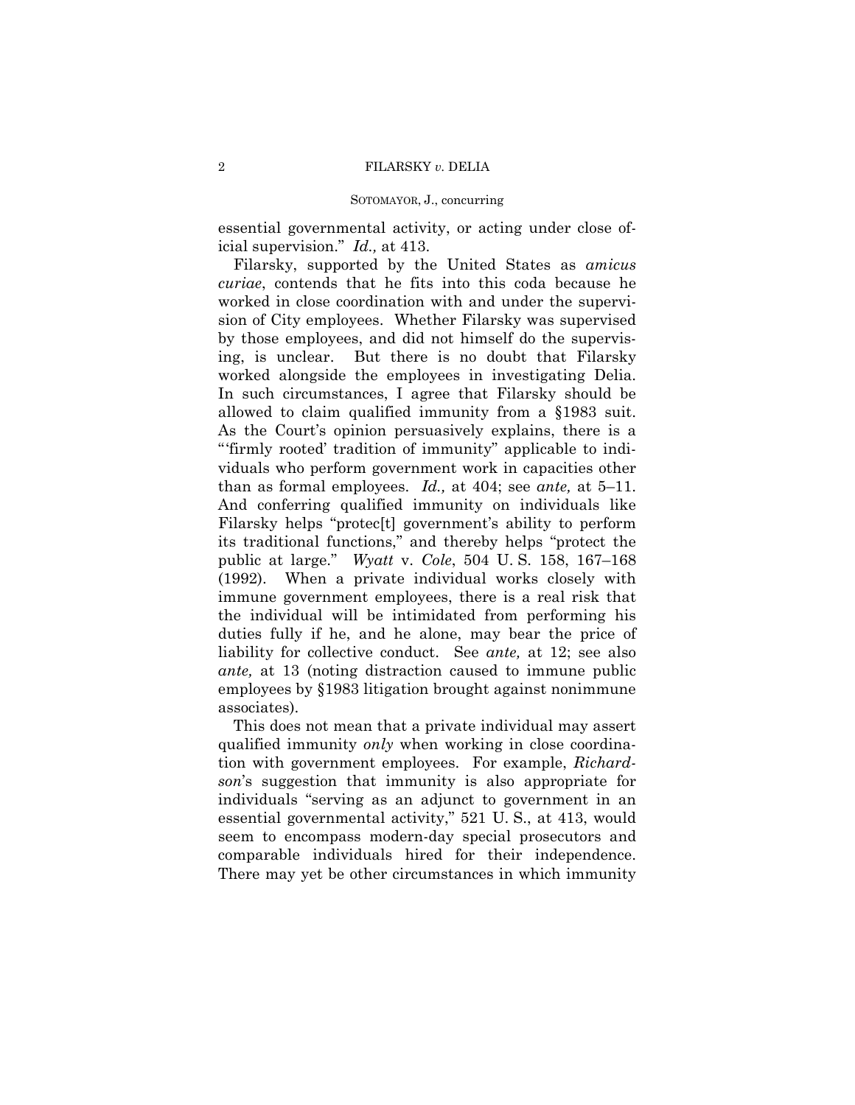#### SOTOMAYOR, J., concurring

essential governmental activity, or acting under close oficial supervision." *Id.,* at 413.

Filarsky, supported by the United States as *amicus curiae*, contends that he fits into this coda because he worked in close coordination with and under the supervision of City employees. Whether Filarsky was supervised by those employees, and did not himself do the supervising, is unclear. But there is no doubt that Filarsky worked alongside the employees in investigating Delia. In such circumstances, I agree that Filarsky should be allowed to claim qualified immunity from a §1983 suit. As the Court's opinion persuasively explains, there is a "'firmly rooted' tradition of immunity" applicable to individuals who perform government work in capacities other than as formal employees. *Id.,* at 404; see *ante,* at 5–11. And conferring qualified immunity on individuals like Filarsky helps "protec[t] government's ability to perform its traditional functions," and thereby helps "protect the public at large." *Wyatt* v. *Cole*, 504 U. S. 158, 167–168 (1992). When a private individual works closely with immune government employees, there is a real risk that the individual will be intimidated from performing his duties fully if he, and he alone, may bear the price of liability for collective conduct. See *ante,* at 12; see also *ante,* at 13 (noting distraction caused to immune public employees by §1983 litigation brought against nonimmune associates).

This does not mean that a private individual may assert qualified immunity *only* when working in close coordination with government employees. For example, *Richardson*'s suggestion that immunity is also appropriate for individuals "serving as an adjunct to government in an essential governmental activity," 521 U. S., at 413, would seem to encompass modern-day special prosecutors and comparable individuals hired for their independence. There may yet be other circumstances in which immunity